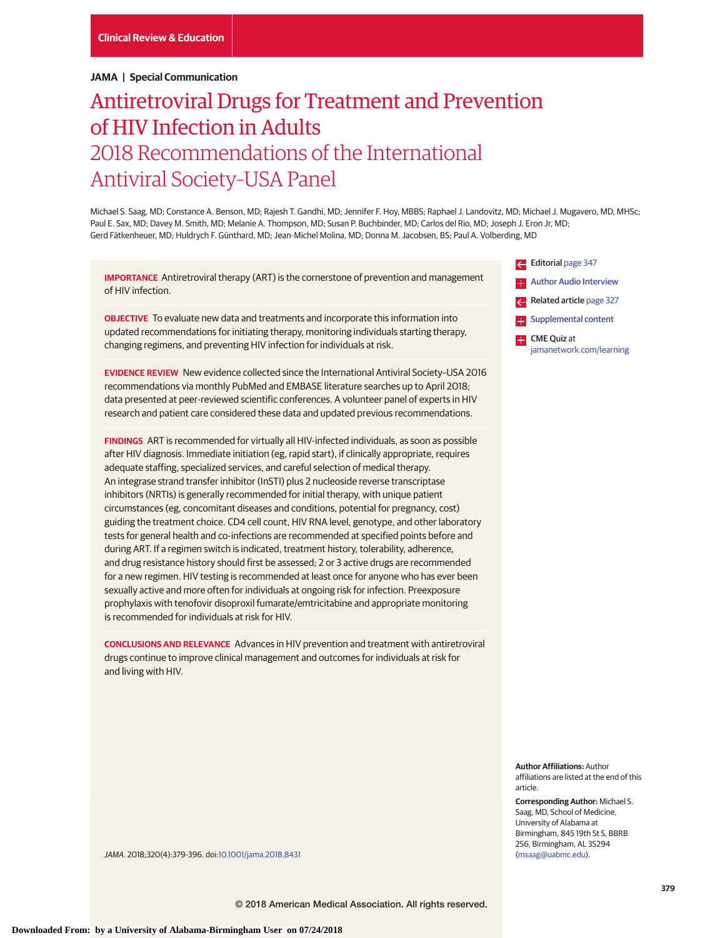## **JAMA | Special Communication**

# Antiretroviral Drugs for Treatment and Prevention of HIV Infection in Adults 2018 Recommendations of the International Antiviral Society–USA Panel

Michael S. Saag, MD; Constance A. Benson, MD; Rajesh T. Gandhi, MD; Jennifer F. Hoy, MBBS; Raphael J. Landovitz, MD; Michael J. Mugavero, MD, MHSc; Paul E. Sax, MD; Davey M. Smith, MD; Melanie A. Thompson, MD; Susan P. Buchbinder, MD; Carlos del Rio, MD; Joseph J. Eron Jr, MD; Gerd Fätkenheuer, MD; Huldrych F. Günthard, MD; Jean-Michel Molina, MD; Donna M. Jacobsen, BS; Paul A. Volberding, MD

**IMPORTANCE** Antiretroviral therapy (ART) is the cornerstone of prevention and management of HIV infection.

**OBJECTIVE** To evaluate new data and treatments and incorporate this information into updated recommendations for initiating therapy, monitoring individuals starting therapy, changing regimens, and preventing HIV infection for individuals at risk.

**EVIDENCE REVIEW** New evidence collected since the International Antiviral Society–USA 2016 recommendations via monthly PubMed and EMBASE literature searches up to April 2018; data presented at peer-reviewed scientific conferences. A volunteer panel of experts in HIV research and patient care considered these data and updated previous recommendations.

**FINDINGS** ART is recommended for virtually all HIV-infected individuals, as soon as possible after HIV diagnosis. Immediate initiation (eg, rapid start), if clinically appropriate, requires adequate staffing, specialized services, and careful selection of medical therapy. An integrase strand transfer inhibitor (InSTI) plus 2 nucleoside reverse transcriptase inhibitors (NRTIs) is generally recommended for initial therapy, with unique patient circumstances (eg, concomitant diseases and conditions, potential for pregnancy, cost) guiding the treatment choice. CD4 cell count, HIV RNA level, genotype, and other laboratory tests for general health and co-infections are recommended at specified points before and during ART. If a regimen switch is indicated, treatment history, tolerability, adherence, and drug resistance history should first be assessed; 2 or 3 active drugs are recommended for a new regimen. HIV testing is recommended at least once for anyone who has ever been sexually active and more often for individuals at ongoing risk for infection. Preexposure prophylaxis with tenofovir disoproxil fumarate/emtricitabine and appropriate monitoring is recommended for individuals at risk for HIV.

**CONCLUSIONS AND RELEVANCE** Advances in HIV prevention and treatment with antiretroviral drugs continue to improve clinical management and outcomes for individuals at risk for and living with HIV.



**Author Affiliations:** Author affiliations are listed at the end of this article.

**Corresponding Author:** Michael S. Saag, MD, School of Medicine, University of Alabama at Birmingham, 845 19th St S, BBRB 256, Birmingham, AL 35294 [\(msaag@uabmc.edu\)](mailto:msaag@uabmc.edu).

JAMA. 2018;320(4):379-396. doi[:10.1001/jama.2018.8431](https://jama.jamanetwork.com/article.aspx?doi=10.1001/jama.2018.8431&utm_campaign=articlePDF%26utm_medium=articlePDFlink%26utm_source=articlePDF%26utm_content=jama.2018.8431)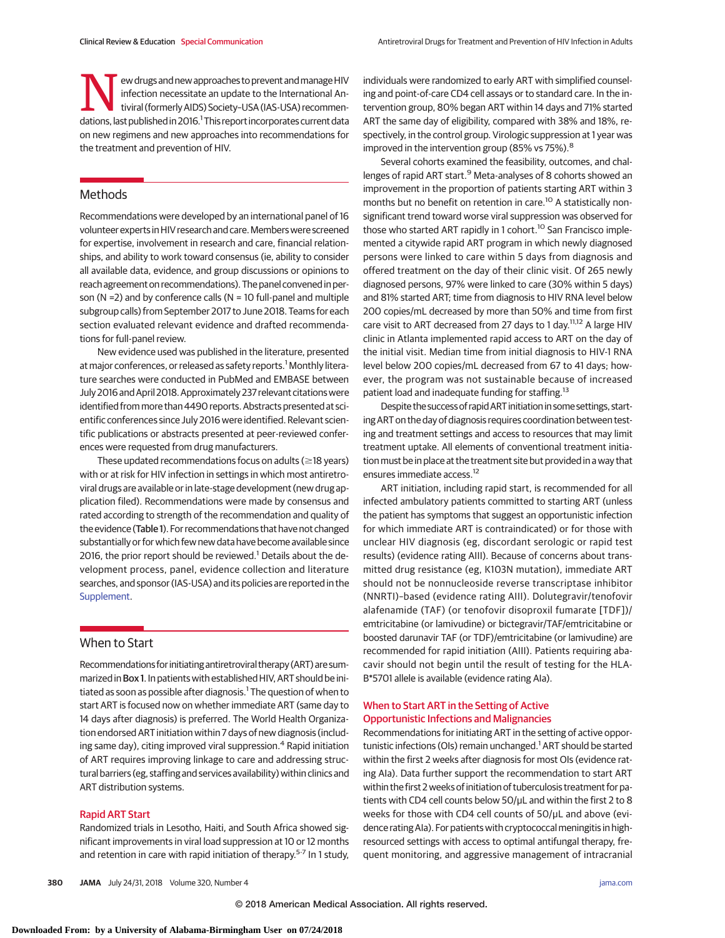ew drugs and new approaches to prevent and manage HIV infection necessitate an update to the International Antiviral (formerly AIDS) Society–USA (IAS-USA) recommendations, last published in 2016.<sup>1</sup> This report incorporates current data on new regimens and new approaches into recommendations for the treatment and prevention of HIV.

# **Methods**

Recommendations were developed by an international panel of 16 volunteer experts in HIV research and care. Members were screened for expertise, involvement in research and care, financial relationships, and ability to work toward consensus (ie, ability to consider all available data, evidence, and group discussions or opinions to reach agreement on recommendations). The panel convened in person ( $N = 2$ ) and by conference calls ( $N = 10$  full-panel and multiple subgroup calls) from September 2017 to June 2018. Teams for each section evaluated relevant evidence and drafted recommendations for full-panel review.

New evidence used was published in the literature, presented at major conferences, or released as safety reports.<sup>1</sup> Monthly literature searches were conducted in PubMed and EMBASE between July 2016 and April 2018. Approximately 237 relevant citations were identified frommore than 4490 reports. Abstracts presented at scientific conferences since July 2016 were identified. Relevant scientific publications or abstracts presented at peer-reviewed conferences were requested from drug manufacturers.

These updated recommendations focus on adults ( $\geq$ 18 years) with or at risk for HIV infection in settings in which most antiretroviral drugs are available or in late-stage development (new drug application filed). Recommendations were made by consensus and rated according to strength of the recommendation and quality of the evidence (Table 1). For recommendations that have not changed substantially or for which few new data have become available since 2016, the prior report should be reviewed.<sup>1</sup> Details about the development process, panel, evidence collection and literature searches, and sponsor (IAS-USA) and its policies are reported in the [Supplement.](https://jama.jamanetwork.com/article.aspx?doi=10.1001/jama.2018.8431&utm_campaign=articlePDF%26utm_medium=articlePDFlink%26utm_source=articlePDF%26utm_content=jama.2018.8431)

# When to Start

Recommendations for initiating antiretroviral therapy (ART) are summarized in Box 1. In patients with established HIV, ART should be initiated as soon as possible after diagnosis.<sup>1</sup> The question of when to start ART is focused now on whether immediate ART (same day to 14 days after diagnosis) is preferred. The World Health Organization endorsed ART initiation within 7 days of new diagnosis (including same day), citing improved viral suppression.<sup>4</sup> Rapid initiation of ART requires improving linkage to care and addressing structural barriers (eg, staffing and services availability) within clinics and ART distribution systems.

# Rapid ART Start

Randomized trials in Lesotho, Haiti, and South Africa showed significant improvements in viral load suppression at 10 or 12 months and retention in care with rapid initiation of therapy.<sup>5-7</sup> In 1 study,

individuals were randomized to early ART with simplified counseling and point-of-care CD4 cell assays or to standard care. In the intervention group, 80% began ART within 14 days and 71% started ART the same day of eligibility, compared with 38% and 18%, respectively, in the control group. Virologic suppression at 1 year was improved in the intervention group (85% vs 75%).<sup>8</sup>

Several cohorts examined the feasibility, outcomes, and challenges of rapid ART start.<sup>9</sup> Meta-analyses of 8 cohorts showed an improvement in the proportion of patients starting ART within 3 months but no benefit on retention in care.<sup>10</sup> A statistically nonsignificant trend toward worse viral suppression was observed for those who started ART rapidly in 1 cohort.<sup>10</sup> San Francisco implemented a citywide rapid ART program in which newly diagnosed persons were linked to care within 5 days from diagnosis and offered treatment on the day of their clinic visit. Of 265 newly diagnosed persons, 97% were linked to care (30% within 5 days) and 81% started ART; time from diagnosis to HIV RNA level below 200 copies/mL decreased by more than 50% and time from first care visit to ART decreased from 27 days to 1 day.<sup>11,12</sup> A large HIV clinic in Atlanta implemented rapid access to ART on the day of the initial visit. Median time from initial diagnosis to HIV-1 RNA level below 200 copies/mL decreased from 67 to 41 days; however, the program was not sustainable because of increased patient load and inadequate funding for staffing.<sup>13</sup>

Despite the success of rapidART initiation in some settings, starting ART on the day of diagnosis requires coordination between testing and treatment settings and access to resources that may limit treatment uptake. All elements of conventional treatment initiationmust be in place at the treatment site but provided in a way that ensures immediate access.<sup>12</sup>

ART initiation, including rapid start, is recommended for all infected ambulatory patients committed to starting ART (unless the patient has symptoms that suggest an opportunistic infection for which immediate ART is contraindicated) or for those with unclear HIV diagnosis (eg, discordant serologic or rapid test results) (evidence rating AIII). Because of concerns about transmitted drug resistance (eg, K103N mutation), immediate ART should not be nonnucleoside reverse transcriptase inhibitor (NNRTI)–based (evidence rating AIII). Dolutegravir/tenofovir alafenamide (TAF) (or tenofovir disoproxil fumarate [TDF])/ emtricitabine (or lamivudine) or bictegravir/TAF/emtricitabine or boosted darunavir TAF (or TDF)/emtricitabine (or lamivudine) are recommended for rapid initiation (AIII). Patients requiring abacavir should not begin until the result of testing for the HLA-B\*5701 allele is available (evidence rating AIa).

# When to Start ART in the Setting of Active Opportunistic Infections and Malignancies

Recommendations for initiating ART in the setting of active opportunistic infections (OIs) remain unchanged.<sup>1</sup> ART should be started within the first 2 weeks after diagnosis for most OIs (evidence rating AIa). Data further support the recommendation to start ART within the first 2 weeks of initiation of tuberculosis treatment for patients with CD4 cell counts below 50/μL and within the first 2 to 8 weeks for those with CD4 cell counts of 50/μL and above (evidence rating AIa). For patients with cryptococcal meningitis in highresourced settings with access to optimal antifungal therapy, frequent monitoring, and aggressive management of intracranial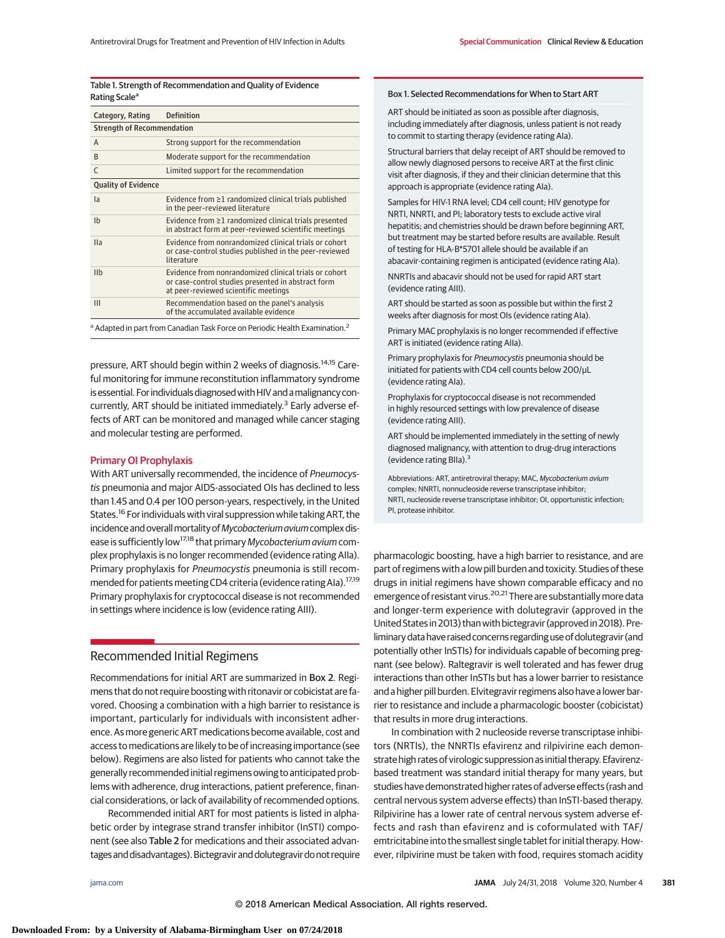## Table 1. Strength of Recommendation and Quality of Evidence Rating Scale<sup>a</sup>

| Category, Rating                                                                                   | <b>Definition</b>                                                                                                                                   |  |  |  |
|----------------------------------------------------------------------------------------------------|-----------------------------------------------------------------------------------------------------------------------------------------------------|--|--|--|
| <b>Strength of Recommendation</b>                                                                  |                                                                                                                                                     |  |  |  |
| A                                                                                                  | Strong support for the recommendation                                                                                                               |  |  |  |
| <sub>R</sub>                                                                                       | Moderate support for the recommendation                                                                                                             |  |  |  |
| C                                                                                                  | Limited support for the recommendation                                                                                                              |  |  |  |
| <b>Quality of Evidence</b>                                                                         |                                                                                                                                                     |  |  |  |
| la                                                                                                 | Evidence from $\geq 1$ randomized clinical trials published<br>in the peer-reviewed literature                                                      |  |  |  |
| I <sub>b</sub>                                                                                     | Evidence from $\geq 1$ randomized clinical trials presented<br>in abstract form at peer-reviewed scientific meetings                                |  |  |  |
| <b>Ila</b>                                                                                         | Evidence from nonrandomized clinical trials or cohort<br>or case-control studies published in the peer-reviewed<br>literature                       |  |  |  |
| <b>IIb</b>                                                                                         | Evidence from nonrandomized clinical trials or cohort<br>or case-control studies presented in abstract form<br>at peer-reviewed scientific meetings |  |  |  |
| $\mathbf{III}$                                                                                     | Recommendation based on the panel's analysis<br>of the accumulated available evidence                                                               |  |  |  |
| <sup>a</sup> Adapted in part from Canadian Task Force on Periodic Health Examination. <sup>2</sup> |                                                                                                                                                     |  |  |  |

pressure, ART should begin within 2 weeks of diagnosis.14,15 Careful monitoring for immune reconstitution inflammatory syndrome is essential. For individuals diagnosed with HIV and a malignancy concurrently, ART should be initiated immediately.<sup>3</sup> Early adverse effects of ART can be monitored and managed while cancer staging and molecular testing are performed.

#### Primary OI Prophylaxis

With ART universally recommended, the incidence of Pneumocystis pneumonia and major AIDS-associated OIs has declined to less than 1.45 and 0.4 per 100 person-years, respectively, in the United States.<sup>16</sup> For individuals with viral suppression while taking ART, the incidence and overall mortality of Mycobacterium avium complex disease is sufficiently low<sup>17,18</sup> that primary Mycobacterium avium complex prophylaxis is no longer recommended (evidence rating AIIa). Primary prophylaxis for Pneumocystis pneumonia is still recommended for patients meeting CD4 criteria (evidence rating AIa).17,19 Primary prophylaxis for cryptococcal disease is not recommended in settings where incidence is low (evidence rating AIII).

# Recommended Initial Regimens

Recommendations for initial ART are summarized in Box 2. Regimens that do not require boosting with ritonavir or cobicistat are favored. Choosing a combination with a high barrier to resistance is important, particularly for individuals with inconsistent adherence. As more generic ART medications become available, cost and access to medications are likely to be of increasing importance (see below). Regimens are also listed for patients who cannot take the generally recommended initial regimens owing to anticipated problems with adherence, drug interactions, patient preference, financial considerations, or lack of availability of recommended options.

Recommended initial ART for most patients is listed in alphabetic order by integrase strand transfer inhibitor (InSTI) component (see also Table 2 for medications and their associated advantages and disadvantages). Bictegravir and dolutegravir do not require

#### Box 1. Selected Recommendations for When to Start ART

ART should be initiated as soon as possible after diagnosis, including immediately after diagnosis, unless patient is not ready to commit to starting therapy (evidence rating AIa).

Structural barriers that delay receipt of ART should be removed to allow newly diagnosed persons to receive ART at the first clinic visit after diagnosis, if they and their clinician determine that this approach is appropriate (evidence rating AIa).

Samples for HIV-1 RNA level; CD4 cell count; HIV genotype for NRTI, NNRTI, and PI; laboratory tests to exclude active viral hepatitis; and chemistries should be drawn before beginning ART, but treatment may be started before results are available. Result of testing for HLA-B\*5701 allele should be available if an abacavir-containing regimen is anticipated (evidence rating AIa).

NNRTIs and abacavir should not be used for rapid ART start (evidence rating AIII).

ART should be started as soon as possible but within the first 2 weeks after diagnosis for most OIs (evidence rating AIa).

Primary MAC prophylaxis is no longer recommended if effective ART is initiated (evidence rating AIIa).

Primary prophylaxis for Pneumocystis pneumonia should be initiated for patients with CD4 cell counts below 200/μL (evidence rating AIa).

Prophylaxis for cryptococcal disease is not recommended in highly resourced settings with low prevalence of disease (evidence rating AIII).

ART should be implemented immediately in the setting of newly diagnosed malignancy, with attention to drug-drug interactions (evidence rating BIIa).3

Abbreviations: ART, antiretroviral therapy; MAC, Mycobacterium avium complex; NNRTI, nonnucleoside reverse transcriptase inhibitor; NRTI, nucleoside reverse transcriptase inhibitor; OI, opportunistic infection; PI, protease inhibitor.

pharmacologic boosting, have a high barrier to resistance, and are part of regimens with a low pill burden and toxicity. Studies of these drugs in initial regimens have shown comparable efficacy and no emergence of resistant virus.<sup>20,21</sup> There are substantially more data and longer-term experience with dolutegravir (approved in the United States in 2013) than with bictegravir (approved in 2018). Preliminary data have raised concerns regarding use of dolutegravir (and potentially other InSTIs) for individuals capable of becoming pregnant (see below). Raltegravir is well tolerated and has fewer drug interactions than other InSTIs but has a lower barrier to resistance and a higher pill burden. Elvitegravir regimens also have a lower barrier to resistance and include a pharmacologic booster (cobicistat) that results in more drug interactions.

In combination with 2 nucleoside reverse transcriptase inhibitors (NRTIs), the NNRTIs efavirenz and rilpivirine each demonstrate high rates of virologic suppression as initial therapy. Efavirenzbased treatment was standard initial therapy for many years, but studies have demonstrated higher rates of adverse effects (rash and central nervous system adverse effects) than InSTI-based therapy. Rilpivirine has a lower rate of central nervous system adverse effects and rash than efavirenz and is coformulated with TAF/ emtricitabine into the smallest single tablet for initial therapy. However, rilpivirine must be taken with food, requires stomach acidity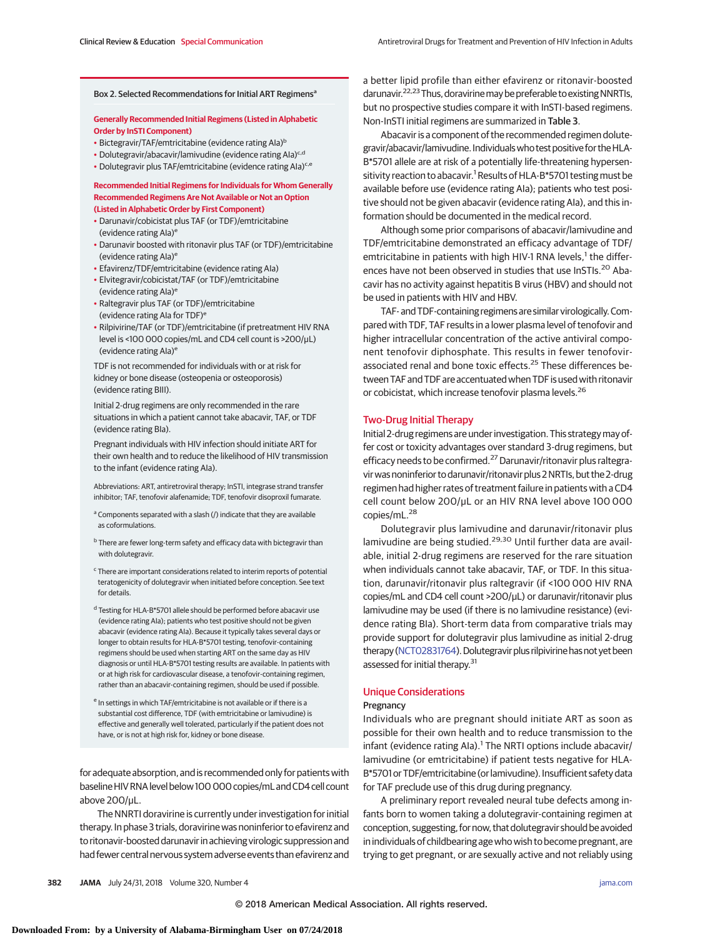#### Box 2. Selected Recommendations for Initial ART Regimens<sup>a</sup>

## **Generally Recommended Initial Regimens (Listed in Alphabetic Order by InSTI Component)**

- Bictegravir/TAF/emtricitabine (evidence rating Ala)<sup>b</sup>
- Dolutegravir/abacavir/lamivudine (evidence rating AIa)<sup>c,d</sup>
- Dolutegravir plus TAF/emtricitabine (evidence rating AIa)<sup>c,e</sup>

## **Recommended Initial Regimens for Individuals for Whom Generally Recommended Regimens Are Not Available or Not an Option (Listed in Alphabetic Order by First Component)**

- Darunavir/cobicistat plus TAF (or TDF)/emtricitabine (evidence rating AIa)e
- Darunavir boosted with ritonavir plus TAF (or TDF)/emtricitabine (evidence rating AIa)e
- Efavirenz/TDF/emtricitabine (evidence rating AIa)
- Elvitegravir/cobicistat/TAF (or TDF)/emtricitabine (evidence rating Ala)<sup>e</sup>
- Raltegravir plus TAF (or TDF)/emtricitabine (evidence rating Ala for TDF)<sup>e</sup>
- Rilpivirine/TAF (or TDF)/emtricitabine (if pretreatment HIV RNA level is <100 000 copies/mL and CD4 cell count is >200/μL) (evidence rating Ala)<sup>e</sup>

TDF is not recommended for individuals with or at risk for kidney or bone disease (osteopenia or osteoporosis) (evidence rating BIII).

Initial 2-drug regimens are only recommended in the rare situations in which a patient cannot take abacavir, TAF, or TDF (evidence rating BIa).

Pregnant individuals with HIV infection should initiate ART for their own health and to reduce the likelihood of HIV transmission to the infant (evidence rating AIa).

Abbreviations: ART, antiretroviral therapy; InSTI, integrase strand transfer inhibitor; TAF, tenofovir alafenamide; TDF, tenofovir disoproxil fumarate.

- a Components separated with a slash (/) indicate that they are available as coformulations.
- **b** There are fewer long-term safety and efficacy data with bictegravir than with dolutegravir.
- <sup>c</sup> There are important considerations related to interim reports of potential teratogenicity of dolutegravir when initiated before conception. See text for details.
- <sup>d</sup> Testing for HLA-B\*5701 allele should be performed before abacavir use (evidence rating AIa); patients who test positive should not be given abacavir (evidence rating AIa). Because it typically takes several days or longer to obtain results for HLA-B\*5701 testing, tenofovir-containing regimens should be used when starting ART on the same day as HIV diagnosis or until HLA-B\*5701 testing results are available. In patients with or at high risk for cardiovascular disease, a tenofovir-containing regimen, rather than an abacavir-containing regimen, should be used if possible.
- <sup>e</sup> In settings in which TAF/emtricitabine is not available or if there is a substantial cost difference, TDF (with emtricitabine or lamivudine) is effective and generally well tolerated, particularly if the patient does not have, or is not at high risk for, kidney or bone disease.

for adequate absorption, and is recommended only for patients with baseline HIV RNA level below 100 000 copies/mL and CD4 cell count above 200/μL.

The NNRTI doravirine is currently under investigation for initial therapy. In phase 3 trials, doravirine was noninferior to efavirenz and to ritonavir-boosted darunavir in achieving virologic suppression and had fewer central nervous system adverse events than efavirenz and a better lipid profile than either efavirenz or ritonavir-boosted darunavir.<sup>22,23</sup>Thus, doravirine may be preferable to existing NNRTIs, but no prospective studies compare it with InSTI-based regimens. Non-InSTI initial regimens are summarized in Table 3.

Abacavir is a component of the recommended regimen dolutegravir/abacavir/lamivudine. Individuals who test positive for the HLA-B\*5701 allele are at risk of a potentially life-threatening hypersensitivity reaction to abacavir.<sup>1</sup> Results of HLA-B\*5701 testing must be available before use (evidence rating AIa); patients who test positive should not be given abacavir (evidence rating AIa), and this information should be documented in the medical record.

Although some prior comparisons of abacavir/lamivudine and TDF/emtricitabine demonstrated an efficacy advantage of TDF/ emtricitabine in patients with high HIV-1 RNA levels,<sup>1</sup> the differences have not been observed in studies that use InSTIs.<sup>20</sup> Abacavir has no activity against hepatitis B virus (HBV) and should not be used in patients with HIV and HBV.

TAF- and TDF-containing regimens are similar virologically. Compared with TDF, TAF results in a lower plasma level of tenofovir and higher intracellular concentration of the active antiviral component tenofovir diphosphate. This results in fewer tenofovirassociated renal and bone toxic effects.<sup>25</sup> These differences between TAF and TDF are accentuated when TDF is used with ritonavir or cobicistat, which increase tenofovir plasma levels.<sup>26</sup>

### Two-Drug Initial Therapy

Initial 2-drug regimens are under investigation. This strategymay offer cost or toxicity advantages over standard 3-drug regimens, but efficacy needs to be confirmed.<sup>27</sup> Darunavir/ritonavir plus raltegravir was noninferior to darunavir/ritonavir plus 2 NRTIs, but the 2-drug regimen had higher rates of treatment failure in patients with a CD4 cell count below 200/μL or an HIV RNA level above 100 000 copies/mL.<sup>28</sup>

Dolutegravir plus lamivudine and darunavir/ritonavir plus lamivudine are being studied.<sup>29,30</sup> Until further data are available, initial 2-drug regimens are reserved for the rare situation when individuals cannot take abacavir, TAF, or TDF. In this situation, darunavir/ritonavir plus raltegravir (if <100 000 HIV RNA copies/mL and CD4 cell count >200/μL) or darunavir/ritonavir plus lamivudine may be used (if there is no lamivudine resistance) (evidence rating BIa). Short-term data from comparative trials may provide support for dolutegravir plus lamivudine as initial 2-drug therapy [\(NCT02831764\)](https://clinicaltrials.gov/ct2/show/NCT02831764). Dolutegravir plus rilpivirine has not yet been assessed for initial therapy.<sup>31</sup>

#### Unique Considerations

#### **Pregnancy**

Individuals who are pregnant should initiate ART as soon as possible for their own health and to reduce transmission to the infant (evidence rating AIa).<sup>1</sup> The NRTI options include abacavir/ lamivudine (or emtricitabine) if patient tests negative for HLA-B\*5701 or TDF/emtricitabine (or lamivudine). Insufficient safety data for TAF preclude use of this drug during pregnancy.

A preliminary report revealed neural tube defects among infants born to women taking a dolutegravir-containing regimen at conception, suggesting, for now, that dolutegravir should be avoided in individuals of childbearing age who wish to become pregnant, are trying to get pregnant, or are sexually active and not reliably using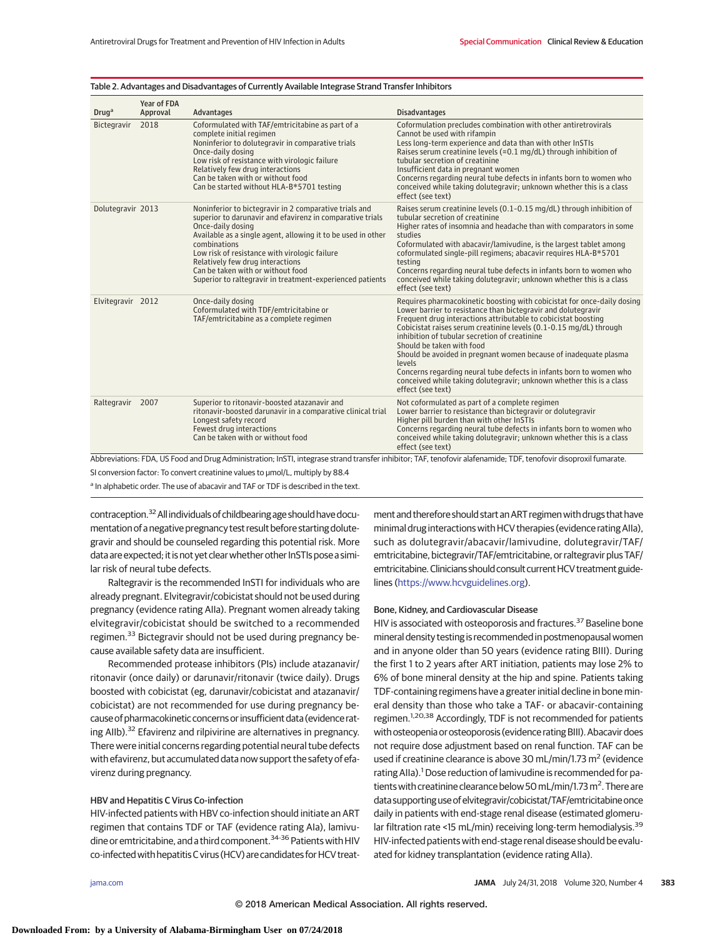| Druq <sup>a</sup> | <b>Year of FDA</b><br>Approval | Advantages                                                                                                                                                                                                                                                                                                                                                                                                      | <b>Disadvantages</b>                                                                                                                                                                                                                                                                                                                                                                                                                                                                                                                                                                                             |
|-------------------|--------------------------------|-----------------------------------------------------------------------------------------------------------------------------------------------------------------------------------------------------------------------------------------------------------------------------------------------------------------------------------------------------------------------------------------------------------------|------------------------------------------------------------------------------------------------------------------------------------------------------------------------------------------------------------------------------------------------------------------------------------------------------------------------------------------------------------------------------------------------------------------------------------------------------------------------------------------------------------------------------------------------------------------------------------------------------------------|
| Bictegravir       | 2018                           | Coformulated with TAF/emtricitabine as part of a<br>complete initial regimen<br>Noninferior to dolutegravir in comparative trials<br>Once-daily dosing<br>Low risk of resistance with virologic failure<br>Relatively few drug interactions<br>Can be taken with or without food<br>Can be started without HLA-B*5701 testing                                                                                   | Coformulation precludes combination with other antiretrovirals<br>Cannot be used with rifampin<br>Less long-term experience and data than with other InSTIs<br>Raises serum creatinine levels ( $\approx$ 0.1 mg/dL) through inhibition of<br>tubular secretion of creatinine<br>Insufficient data in pregnant women<br>Concerns regarding neural tube defects in infants born to women who<br>conceived while taking dolutegravir; unknown whether this is a class<br>effect (see text)                                                                                                                         |
| Dolutegravir 2013 |                                | Noninferior to bictegravir in 2 comparative trials and<br>superior to darunavir and efavirenz in comparative trials<br>Once-daily dosing<br>Available as a single agent, allowing it to be used in other<br>combinations<br>Low risk of resistance with virologic failure<br>Relatively few drug interactions<br>Can be taken with or without food<br>Superior to raltegravir in treatment-experienced patients | Raises serum creatinine levels (0.1-0.15 mg/dL) through inhibition of<br>tubular secretion of creatinine<br>Higher rates of insomnia and headache than with comparators in some<br>studies<br>Coformulated with abacavir/lamivudine, is the largest tablet among<br>coformulated single-pill regimens; abacavir requires HLA-B*5701<br>testing<br>Concerns regarding neural tube defects in infants born to women who<br>conceived while taking dolutegravir; unknown whether this is a class<br>effect (see text)                                                                                               |
| Elvitegravir 2012 |                                | Once-daily dosing<br>Coformulated with TDF/emtricitabine or<br>TAF/emtricitabine as a complete regimen                                                                                                                                                                                                                                                                                                          | Requires pharmacokinetic boosting with cobicistat for once-daily dosing<br>Lower barrier to resistance than bictegravir and dolutegravir<br>Frequent drug interactions attributable to cobicistat boosting<br>Cobicistat raises serum creatinine levels (0.1-0.15 mg/dL) through<br>inhibition of tubular secretion of creatinine<br>Should be taken with food<br>Should be avoided in pregnant women because of inadequate plasma<br>levels<br>Concerns regarding neural tube defects in infants born to women who<br>conceived while taking dolutegravir; unknown whether this is a class<br>effect (see text) |
| Raltegravir       | 2007                           | Superior to ritonavir-boosted atazanavir and<br>ritonavir-boosted darunavir in a comparative clinical trial<br>Longest safety record<br>Fewest drug interactions<br>Can be taken with or without food                                                                                                                                                                                                           | Not coformulated as part of a complete regimen<br>Lower barrier to resistance than bictegravir or dolutegravir<br>Higher pill burden than with other InSTIs<br>Concerns regarding neural tube defects in infants born to women who<br>conceived while taking dolutegravir; unknown whether this is a class<br>effect (see text)                                                                                                                                                                                                                                                                                  |

#### Table 2. Advantages and Disadvantages of Currently Available Integrase Strand Transfer Inhibitors

Abbreviations: FDA, US Food and Drug Administration; InSTI, integrase strand transfer inhibitor; TAF, tenofovir alafenamide; TDF, tenofovir disoproxil fumarate.

SI conversion factor: To convert creatinine values to μmol/L, multiply by 88.4

<sup>a</sup> In alphabetic order. The use of abacavir and TAF or TDF is described in the text.

contraception.<sup>32</sup> All individuals of childbearing age should have documentation of a negative pregnancy test result before starting dolutegravir and should be counseled regarding this potential risk. More data are expected; it is not yet clear whether other InSTIs pose a similar risk of neural tube defects.

Raltegravir is the recommended InSTI for individuals who are already pregnant. Elvitegravir/cobicistat should not be used during pregnancy (evidence rating AIIa). Pregnant women already taking elvitegravir/cobicistat should be switched to a recommended regimen.<sup>33</sup> Bictegravir should not be used during pregnancy because available safety data are insufficient.

Recommended protease inhibitors (PIs) include atazanavir/ ritonavir (once daily) or darunavir/ritonavir (twice daily). Drugs boosted with cobicistat (eg, darunavir/cobicistat and atazanavir/ cobicistat) are not recommended for use during pregnancy because of pharmacokinetic concerns or insufficient data (evidence rating AIIb).<sup>32</sup> Efavirenz and rilpivirine are alternatives in pregnancy. There were initial concerns regarding potential neural tube defects with efavirenz, but accumulated data now support the safety of efavirenz during pregnancy.

#### HBV and Hepatitis C Virus Co-infection

HIV-infected patients with HBV co-infection should initiate an ART regimen that contains TDF or TAF (evidence rating AIa), lamivudine or emtricitabine, and a third component.<sup>34-36</sup> Patients with HIV co-infected with hepatitis C virus (HCV) are candidates for HCV treatment and therefore should start an ART regimen with drugs that have minimal drug interactions with HCV therapies (evidence rating Alla), such as dolutegravir/abacavir/lamivudine, dolutegravir/TAF/ emtricitabine, bictegravir/TAF/emtricitabine, or raltegravir plus TAF/ emtricitabine. Clinicians should consult current HCV treatment guidelines [\(https://www.hcvguidelines.org\)](http://www.hcvguidelines.org).

## Bone, Kidney, and Cardiovascular Disease

HIV is associated with osteoporosis and fractures.<sup>37</sup> Baseline bone mineral density testing is recommended in postmenopausal women and in anyone older than 50 years (evidence rating BIII). During the first 1 to 2 years after ART initiation, patients may lose 2% to 6% of bone mineral density at the hip and spine. Patients taking TDF-containing regimens have a greater initial decline in bone mineral density than those who take a TAF- or abacavir-containing regimen.<sup>1,20,38</sup> Accordingly, TDF is not recommended for patients with osteopenia or osteoporosis (evidence rating BIII). Abacavir does not require dose adjustment based on renal function. TAF can be used if creatinine clearance is above 30 mL/min/1.73  $m<sup>2</sup>$  (evidence rating Alla).<sup>1</sup> Dose reduction of lamivudine is recommended for patients with creatinine clearance below 50 mL/min/1.73  $\mathrm{m}^2$ . There are data supporting use of elvitegravir/cobicistat/TAF/emtricitabine once daily in patients with end-stage renal disease (estimated glomerular filtration rate <15 mL/min) receiving long-term hemodialysis.<sup>39</sup> HIV-infected patients with end-stage renal disease should be evaluated for kidney transplantation (evidence rating AIIa).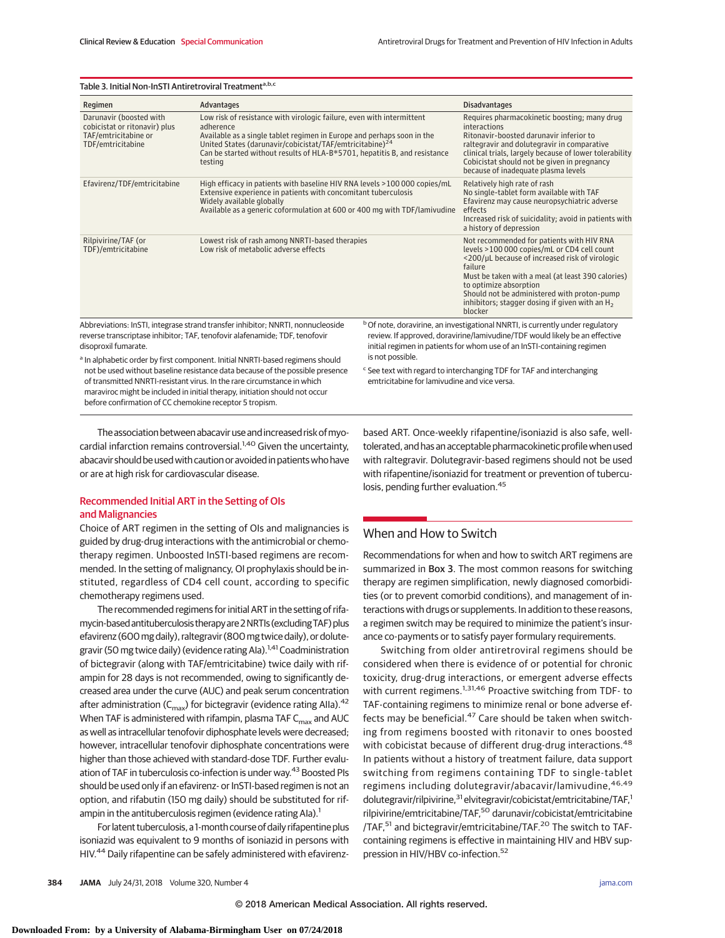| Regimen                                                                                                                                                                                                                                                                                                                                                                                                                                                                                                                       | <b>Advantages</b>                                                                                                                                                                                                                                                                                                            |                                                                                                                                                                                                                                                                                                        | <b>Disadvantages</b>                                                                                                                                                                                                                                                                                                                                |
|-------------------------------------------------------------------------------------------------------------------------------------------------------------------------------------------------------------------------------------------------------------------------------------------------------------------------------------------------------------------------------------------------------------------------------------------------------------------------------------------------------------------------------|------------------------------------------------------------------------------------------------------------------------------------------------------------------------------------------------------------------------------------------------------------------------------------------------------------------------------|--------------------------------------------------------------------------------------------------------------------------------------------------------------------------------------------------------------------------------------------------------------------------------------------------------|-----------------------------------------------------------------------------------------------------------------------------------------------------------------------------------------------------------------------------------------------------------------------------------------------------------------------------------------------------|
| Darunavir (boosted with<br>cobicistat or ritonavir) plus<br>TAF/emtricitabine or<br>TDF/emtricitabine                                                                                                                                                                                                                                                                                                                                                                                                                         | Low risk of resistance with virologic failure, even with intermittent<br>adherence<br>Available as a single tablet regimen in Europe and perhaps soon in the<br>United States (darunavir/cobicistat/TAF/emtricitabine) <sup>24</sup><br>Can be started without results of HLA-B*5701, hepatitis B, and resistance<br>testing | Requires pharmacokinetic boosting; many drug<br>interactions<br>Ritonavir-boosted darunavir inferior to<br>raltegravir and dolutegravir in comparative<br>clinical trials, largely because of lower tolerability<br>Cobicistat should not be given in pregnancy<br>because of inadequate plasma levels |                                                                                                                                                                                                                                                                                                                                                     |
| Efavirenz/TDF/emtricitabine                                                                                                                                                                                                                                                                                                                                                                                                                                                                                                   | High efficacy in patients with baseline HIV RNA levels >100 000 copies/mL<br>Extensive experience in patients with concomitant tuberculosis<br>Widely available globally<br>Available as a generic coformulation at 600 or 400 mg with TDF/lamivudine                                                                        |                                                                                                                                                                                                                                                                                                        | Relatively high rate of rash<br>No single-tablet form available with TAF<br>Efavirenz may cause neuropsychiatric adverse<br>effects<br>Increased risk of suicidality; avoid in patients with<br>a history of depression                                                                                                                             |
| Rilpivirine/TAF (or<br>TDF)/emtricitabine                                                                                                                                                                                                                                                                                                                                                                                                                                                                                     | Lowest risk of rash among NNRTI-based therapies<br>Low risk of metabolic adverse effects                                                                                                                                                                                                                                     |                                                                                                                                                                                                                                                                                                        | Not recommended for patients with HIV RNA<br>levels >100 000 copies/mL or CD4 cell count<br><200/µL because of increased risk of virologic<br>failure<br>Must be taken with a meal (at least 390 calories)<br>to optimize absorption<br>Should not be administered with proton-pump<br>inhibitors; stagger dosing if given with an $H_2$<br>blocker |
| Abbreviations: InSTI, integrase strand transfer inhibitor; NNRTI, nonnucleoside<br>reverse transcriptase inhibitor; TAF, tenofovir alafenamide; TDF, tenofovir<br>disoproxil fumarate.<br><sup>a</sup> In alphabetic order by first component. Initial NNRTI-based regimens should<br>not be used without baseline resistance data because of the possible presence<br>of transmitted NNRTI-resistant virus. In the rare circumstance in which<br>maraviroc might be included in initial therapy, initiation should not occur |                                                                                                                                                                                                                                                                                                                              | <sup>b</sup> Of note, doravirine, an investigational NNRTI, is currently under regulatory<br>review. If approved, doravirine/lamivudine/TDF would likely be an effective<br>initial regimen in patients for whom use of an InSTI-containing regimen                                                    |                                                                                                                                                                                                                                                                                                                                                     |
|                                                                                                                                                                                                                                                                                                                                                                                                                                                                                                                               |                                                                                                                                                                                                                                                                                                                              | is not possible.<br><sup>c</sup> See text with regard to interchanging TDF for TAF and interchanging<br>emtricitabine for lamivudine and vice versa.                                                                                                                                                   |                                                                                                                                                                                                                                                                                                                                                     |

#### Table 3. Initial Non-InSTI Antiretroviral Treatmenta, b,c

The association between abacavir use and increased risk of myocardial infarction remains controversial.<sup>1,40</sup> Given the uncertainty, abacavir should be used with caution or avoided in patients who have or are at high risk for cardiovascular disease.

# Recommended Initial ART in the Setting of OIs and Malignancies

before confirmation of CC chemokine receptor 5 tropism.

Choice of ART regimen in the setting of OIs and malignancies is guided by drug-drug interactions with the antimicrobial or chemotherapy regimen. Unboosted InSTI-based regimens are recommended. In the setting of malignancy, OI prophylaxis should be instituted, regardless of CD4 cell count, according to specific chemotherapy regimens used.

The recommended regimens for initial ART in the setting of rifamycin-based antituberculosis therapy are 2 NRTIs (excluding TAF) plus efavirenz (600mg daily), raltegravir (800mg twice daily), or dolutegravir (50 mg twice daily) (evidence rating Ala).<sup>1,41</sup> Coadministration of bictegravir (along with TAF/emtricitabine) twice daily with rifampin for 28 days is not recommended, owing to significantly decreased area under the curve (AUC) and peak serum concentration after administration ( $C_{\text{max}}$ ) for bictegravir (evidence rating Alla).<sup>42</sup> When TAF is administered with rifampin, plasma TAF  $C_{\text{max}}$  and AUC as well as intracellular tenofovir diphosphate levels were decreased; however, intracellular tenofovir diphosphate concentrations were higher than those achieved with standard-dose TDF. Further evaluation of TAF in tuberculosis co-infection is under way.<sup>43</sup> Boosted PIs should be used only if an efavirenz- or InSTI-based regimen is not an option, and rifabutin (150 mg daily) should be substituted for rifampin in the antituberculosis regimen (evidence rating AIa). $<sup>1</sup>$ </sup>

For latent tuberculosis, a 1-month course of daily rifapentine plus isoniazid was equivalent to 9 months of isoniazid in persons with HIV.<sup>44</sup> Daily rifapentine can be safely administered with efavirenzbased ART. Once-weekly rifapentine/isoniazid is also safe, welltolerated, and has an acceptable pharmacokinetic profile when used with raltegravir. Dolutegravir-based regimens should not be used with rifapentine/isoniazid for treatment or prevention of tuberculosis, pending further evaluation.<sup>45</sup>

# When and How to Switch

Recommendations for when and how to switch ART regimens are summarized in Box 3. The most common reasons for switching therapy are regimen simplification, newly diagnosed comorbidities (or to prevent comorbid conditions), and management of interactions with drugs or supplements. In addition to these reasons, a regimen switch may be required to minimize the patient's insurance co-payments or to satisfy payer formulary requirements.

Switching from older antiretroviral regimens should be considered when there is evidence of or potential for chronic toxicity, drug-drug interactions, or emergent adverse effects with current regimens.<sup>1,31,46</sup> Proactive switching from TDF- to TAF-containing regimens to minimize renal or bone adverse effects may be beneficial. $47$  Care should be taken when switching from regimens boosted with ritonavir to ones boosted with cobicistat because of different drug-drug interactions.<sup>48</sup> In patients without a history of treatment failure, data support switching from regimens containing TDF to single-tablet regimens including dolutegravir/abacavir/lamivudine, 46,49 dolutegravir/rilpivirine,<sup>31</sup> elvitegravir/cobicistat/emtricitabine/TAF,<sup>1</sup> rilpivirine/emtricitabine/TAF,<sup>50</sup> darunavir/cobicistat/emtricitabine /TAF,<sup>51</sup> and bictegravir/emtricitabine/TAF.<sup>20</sup> The switch to TAFcontaining regimens is effective in maintaining HIV and HBV suppression in HIV/HBV co-infection.<sup>52</sup>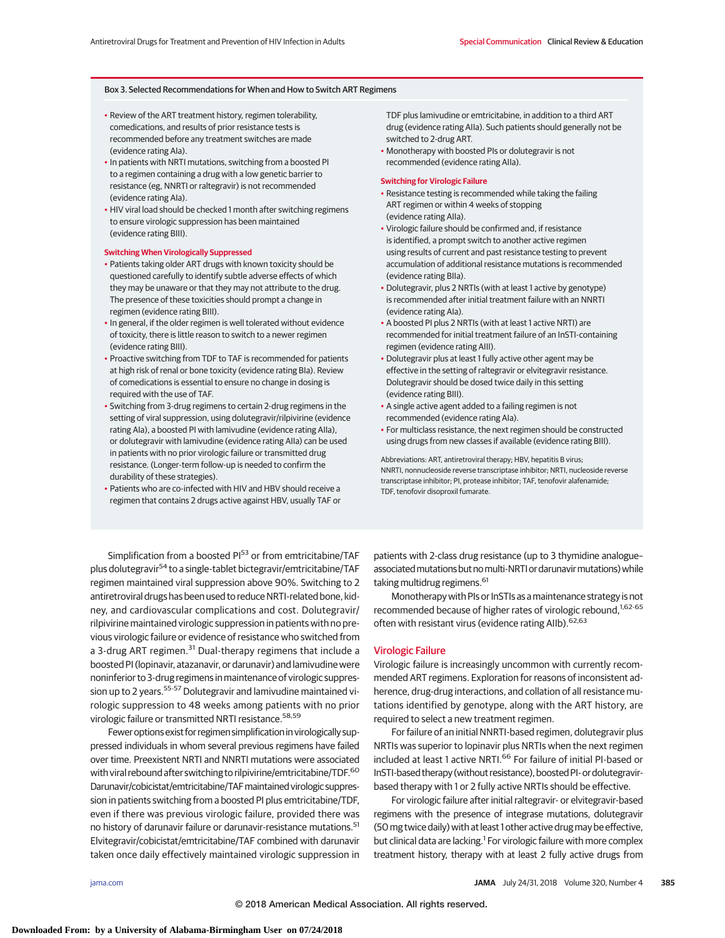## Box 3. Selected Recommendations for When and How to Switch ART Regimens

- Review of the ART treatment history, regimen tolerability, comedications, and results of prior resistance tests is recommended before any treatment switches are made (evidence rating AIa).
- In patients with NRTI mutations, switching from a boosted PI to a regimen containing a drug with a low genetic barrier to resistance (eg, NNRTI or raltegravir) is not recommended (evidence rating AIa).
- HIV viral load should be checked 1 month after switching regimens to ensure virologic suppression has been maintained (evidence rating BIII).

#### **Switching When Virologically Suppressed**

- Patients taking older ART drugs with known toxicity should be questioned carefully to identify subtle adverse effects of which they may be unaware or that they may not attribute to the drug. The presence of these toxicities should prompt a change in regimen (evidence rating BIII).
- In general, if the older regimen is well tolerated without evidence of toxicity, there is little reason to switch to a newer regimen (evidence rating BIII).
- Proactive switching from TDF to TAF is recommended for patients at high risk of renal or bone toxicity (evidence rating BIa). Review of comedications is essential to ensure no change in dosing is required with the use of TAF.
- Switching from 3-drug regimens to certain 2-drug regimens in the setting of viral suppression, using dolutegravir/rilpivirine (evidence rating AIa), a boosted PI with lamivudine (evidence rating AIIa), or dolutegravir with lamivudine (evidence rating AIIa) can be used in patients with no prior virologic failure or transmitted drug resistance. (Longer-term follow-up is needed to confirm the durability of these strategies).
- Patients who are co-infected with HIV and HBV should receive a regimen that contains 2 drugs active against HBV, usually TAF or

TDF plus lamivudine or emtricitabine, in addition to a third ART drug (evidence rating AIIa). Such patients should generally not be switched to 2-drug ART.

• Monotherapy with boosted PIs or dolutegravir is not recommended (evidence rating AIIa).

#### **Switching for Virologic Failure**

- Resistance testing is recommended while taking the failing ART regimen or within 4 weeks of stopping (evidence rating AIIa).
- Virologic failure should be confirmed and, if resistance is identified, a prompt switch to another active regimen using results of current and past resistance testing to prevent accumulation of additional resistance mutations is recommended (evidence rating BIIa).
- Dolutegravir, plus 2 NRTIs (with at least 1 active by genotype) is recommended after initial treatment failure with an NNRTI (evidence rating AIa).
- A boosted PI plus 2 NRTIs (with at least 1 active NRTI) are recommended for initial treatment failure of an InSTI-containing regimen (evidence rating AIII).
- Dolutegravir plus at least 1 fully active other agent may be effective in the setting of raltegravir or elvitegravir resistance. Dolutegravir should be dosed twice daily in this setting (evidence rating BIII).
- A single active agent added to a failing regimen is not recommended (evidence rating AIa).
- For multiclass resistance, the next regimen should be constructed using drugs from new classes if available (evidence rating BIII).

Abbreviations: ART, antiretroviral therapy; HBV, hepatitis B virus; NNRTI, nonnucleoside reverse transcriptase inhibitor; NRTI, nucleoside reverse transcriptase inhibitor; PI, protease inhibitor; TAF, tenofovir alafenamide; TDF, tenofovir disoproxil fumarate.

Simplification from a boosted PI<sup>53</sup> or from emtricitabine/TAF plus dolutegravir<sup>54</sup> to a single-tablet bictegravir/emtricitabine/TAF regimen maintained viral suppression above 90%. Switching to 2 antiretroviral drugs has been used to reduce NRTI-related bone, kidney, and cardiovascular complications and cost. Dolutegravir/ rilpivirine maintained virologic suppression in patients with no previous virologic failure or evidence of resistance who switched from a 3-drug ART regimen.<sup>31</sup> Dual-therapy regimens that include a boosted PI (lopinavir, atazanavir, or darunavir) and lamivudine were noninferior to 3-drug regimens inmaintenance of virologic suppression up to 2 years.<sup>55-57</sup> Dolutegravir and lamivudine maintained virologic suppression to 48 weeks among patients with no prior virologic failure or transmitted NRTI resistance.<sup>58,59</sup>

Fewer options exist for regimen simplification in virologically suppressed individuals in whom several previous regimens have failed over time. Preexistent NRTI and NNRTI mutations were associated with viral rebound after switching to rilpivirine/emtricitabine/TDF.<sup>60</sup> Darunavir/cobicistat/emtricitabine/TAF maintained virologic suppression in patients switching from a boosted PI plus emtricitabine/TDF, even if there was previous virologic failure, provided there was no history of darunavir failure or darunavir-resistance mutations.51 Elvitegravir/cobicistat/emtricitabine/TAF combined with darunavir taken once daily effectively maintained virologic suppression in

patients with 2-class drug resistance (up to 3 thymidine analogue– associated mutations but no multi-NRTI or darunavir mutations) while taking multidrug regimens.<sup>61</sup>

Monotherapy with PIs or InSTIs as amaintenance strategy is not recommended because of higher rates of virologic rebound,<sup>1,62-65</sup> often with resistant virus (evidence rating AIIb). <sup>62,63</sup>

## Virologic Failure

Virologic failure is increasingly uncommon with currently recommended ART regimens. Exploration for reasons of inconsistent adherence, drug-drug interactions, and collation of all resistance mutations identified by genotype, along with the ART history, are required to select a new treatment regimen.

For failure of an initial NNRTI-based regimen, dolutegravir plus NRTIs was superior to lopinavir plus NRTIs when the next regimen included at least 1 active NRTI.<sup>66</sup> For failure of initial PI-based or InSTI-based therapy (without resistance), boosted PI- or dolutegravirbased therapy with 1 or 2 fully active NRTIs should be effective.

For virologic failure after initial raltegravir- or elvitegravir-based regimens with the presence of integrase mutations, dolutegravir (50 mg twice daily) with at least 1 other active drug may be effective, but clinical data are lacking.<sup>1</sup> For virologic failure with more complex treatment history, therapy with at least 2 fully active drugs from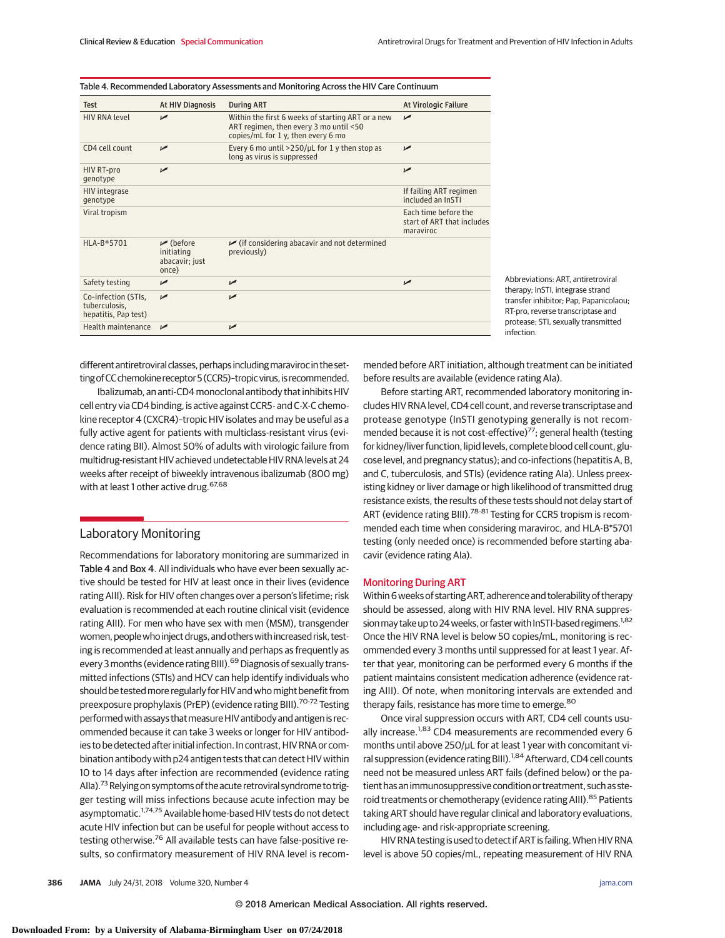| Table 4. Recommended Laboratory Assessments and Monitoring Across the HIV Care Continuum |                                                                        |                                                                                                                                   |                                                                 |  |  |
|------------------------------------------------------------------------------------------|------------------------------------------------------------------------|-----------------------------------------------------------------------------------------------------------------------------------|-----------------------------------------------------------------|--|--|
| <b>Test</b>                                                                              | At HIV Diagnosis                                                       | <b>During ART</b>                                                                                                                 | At Virologic Failure                                            |  |  |
| <b>HIV RNA level</b>                                                                     | مما                                                                    | Within the first 6 weeks of starting ART or a new<br>ART regimen, then every 3 mo until <50<br>copies/mL for 1 y, then every 6 mo | $\overline{v}$                                                  |  |  |
| CD4 cell count                                                                           | $\sqrt{2}$                                                             | Every 6 mo until >250/µL for 1 y then stop as<br>long as virus is suppressed                                                      | $\sqrt{2}$                                                      |  |  |
| HIV RT-pro<br>genotype                                                                   | مما                                                                    |                                                                                                                                   | مما                                                             |  |  |
| <b>HIV</b> integrase<br>qenotype                                                         |                                                                        |                                                                                                                                   | If failing ART regimen<br>included an InSTI                     |  |  |
| Viral tropism                                                                            |                                                                        |                                                                                                                                   | Each time before the<br>start of ART that includes<br>maraviroc |  |  |
| HLA-B*5701                                                                               | $\blacktriangleright$ (before<br>initiating<br>abacavir; just<br>once) | $\triangleright$ (if considering abacavir and not determined<br>previously)                                                       |                                                                 |  |  |
| Safety testing                                                                           | مما                                                                    | $\sqrt{2}$                                                                                                                        | مما                                                             |  |  |
| Co-infection (STIs,<br>tuberculosis,<br>hepatitis, Pap test)                             | مما                                                                    | مما                                                                                                                               |                                                                 |  |  |
| Health maintenance                                                                       | $\overline{ }$                                                         | ✔                                                                                                                                 |                                                                 |  |  |

Abbreviations: ART, antiretroviral therapy; InSTI, integrase strand transfer inhibitor; Pap, Papanicolaou; RT-pro, reverse transcriptase and protease; STI, sexually transmitted infection.

different antiretroviral classes, perhaps including maraviroc in the setting of CC chemokine receptor 5 (CCR5)-tropic virus, is recommended.

Ibalizumab, an anti-CD4 monoclonal antibody that inhibits HIV cell entry via CD4 binding, is active against CCR5- and C-X-C chemokine receptor 4 (CXCR4)–tropic HIV isolates and may be useful as a fully active agent for patients with multiclass-resistant virus (evidence rating BII). Almost 50% of adults with virologic failure from multidrug-resistant HIV achieved undetectable HIV RNA levels at 24 weeks after receipt of biweekly intravenous ibalizumab (800 mg) with at least 1 other active drug. 67,68

# Laboratory Monitoring

Recommendations for laboratory monitoring are summarized in Table 4 and Box 4. All individuals who have ever been sexually active should be tested for HIV at least once in their lives (evidence rating AIII). Risk for HIV often changes over a person's lifetime; risk evaluation is recommended at each routine clinical visit (evidence rating AIII). For men who have sex with men (MSM), transgender women, people who inject drugs, and others with increased risk, testing is recommended at least annually and perhaps as frequently as every 3 months (evidence rating BIII).<sup>69</sup> Diagnosis of sexually transmitted infections (STIs) and HCV can help identify individuals who should be tested more regularly for HIV and who might benefit from preexposure prophylaxis (PrEP) (evidence rating BIII).<sup>70-72</sup> Testing performed with assays that measure HIV antibody and antigen is recommended because it can take 3 weeks or longer for HIV antibodies to be detected after initial infection. In contrast, HIV RNA or combination antibody with p24 antigen tests that can detect HIV within 10 to 14 days after infection are recommended (evidence rating Alla).<sup>73</sup> Relying on symptoms of the acute retroviral syndrome to trigger testing will miss infections because acute infection may be asymptomatic.<sup>1,74,75</sup> Available home-based HIV tests do not detect acute HIV infection but can be useful for people without access to testing otherwise.<sup>76</sup> All available tests can have false-positive results, so confirmatory measurement of HIV RNA level is recommended before ART initiation, although treatment can be initiated before results are available (evidence rating AIa).

Before starting ART, recommended laboratory monitoring includes HIV RNA level, CD4 cell count, and reverse transcriptase and protease genotype (InSTI genotyping generally is not recommended because it is not cost-effective) $77$ ; general health (testing for kidney/liver function, lipid levels, complete blood cell count, glucose level, and pregnancy status); and co-infections (hepatitis A, B, and C, tuberculosis, and STIs) (evidence rating AIa). Unless preexisting kidney or liver damage or high likelihood of transmitted drug resistance exists, the results of these tests should not delay start of ART (evidence rating BIII).<sup>78-81</sup> Testing for CCR5 tropism is recommended each time when considering maraviroc, and HLA-B\*5701 testing (only needed once) is recommended before starting abacavir (evidence rating AIa).

## Monitoring During ART

Within 6 weeks of starting ART, adherence and tolerability of therapy should be assessed, along with HIV RNA level. HIV RNA suppression may take up to 24 weeks, or faster with InSTI-based regimens.<sup>1,82</sup> Once the HIV RNA level is below 50 copies/mL, monitoring is recommended every 3 months until suppressed for at least 1 year. After that year, monitoring can be performed every 6 months if the patient maintains consistent medication adherence (evidence rating AIII). Of note, when monitoring intervals are extended and therapy fails, resistance has more time to emerge.<sup>80</sup>

Once viral suppression occurs with ART, CD4 cell counts usually increase.<sup>1,83</sup> CD4 measurements are recommended every 6 months until above 250/μL for at least 1 year with concomitant viral suppression (evidence rating BIII).<sup>1,84</sup> Afterward, CD4 cell counts need not be measured unless ART fails (defined below) or the patient has an immunosuppressive condition or treatment, such as steroid treatments or chemotherapy (evidence rating AIII). 85 Patients taking ART should have regular clinical and laboratory evaluations, including age- and risk-appropriate screening.

HIV RNA testing is used to detect if ART is failing. When HIV RNA level is above 50 copies/mL, repeating measurement of HIV RNA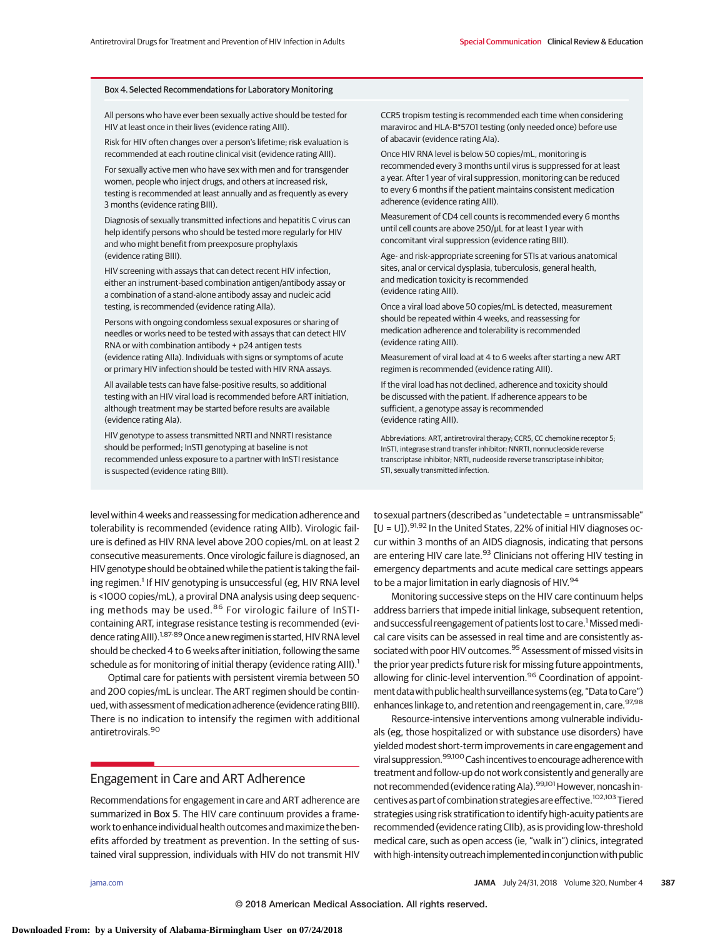## Box 4. Selected Recommendations for Laboratory Monitoring

All persons who have ever been sexually active should be tested for HIV at least once in their lives (evidence rating AIII).

Risk for HIV often changes over a person's lifetime; risk evaluation is recommended at each routine clinical visit (evidence rating AIII).

For sexually active men who have sex with men and for transgender women, people who inject drugs, and others at increased risk, testing is recommended at least annually and as frequently as every 3 months (evidence rating BIII).

Diagnosis of sexually transmitted infections and hepatitis C virus can help identify persons who should be tested more regularly for HIV and who might benefit from preexposure prophylaxis (evidence rating BIII).

HIV screening with assays that can detect recent HIV infection, either an instrument-based combination antigen/antibody assay or a combination of a stand-alone antibody assay and nucleic acid testing, is recommended (evidence rating AIIa).

Persons with ongoing condomless sexual exposures or sharing of needles or works need to be tested with assays that can detect HIV RNA or with combination antibody + p24 antigen tests (evidence rating AIIa). Individuals with signs or symptoms of acute or primary HIV infection should be tested with HIV RNA assays.

All available tests can have false-positive results, so additional testing with an HIV viral load is recommended before ART initiation, although treatment may be started before results are available (evidence rating AIa).

HIV genotype to assess transmitted NRTI and NNRTI resistance should be performed; InSTI genotyping at baseline is not recommended unless exposure to a partner with InSTI resistance is suspected (evidence rating BIII).

CCR5 tropism testing is recommended each time when considering maraviroc and HLA-B\*5701 testing (only needed once) before use of abacavir (evidence rating AIa).

Once HIV RNA level is below 50 copies/mL, monitoring is recommended every 3 months until virus is suppressed for at least a year. After 1 year of viral suppression, monitoring can be reduced to every 6 months if the patient maintains consistent medication adherence (evidence rating AIII).

Measurement of CD4 cell counts is recommended every 6 months until cell counts are above 250/μL for at least 1 year with concomitant viral suppression (evidence rating BIII).

Age- and risk-appropriate screening for STIs at various anatomical sites, anal or cervical dysplasia, tuberculosis, general health, and medication toxicity is recommended (evidence rating AIII).

Once a viral load above 50 copies/mL is detected, measurement should be repeated within 4 weeks, and reassessing for medication adherence and tolerability is recommended (evidence rating AIII).

Measurement of viral load at 4 to 6 weeks after starting a new ART regimen is recommended (evidence rating AIII).

If the viral load has not declined, adherence and toxicity should be discussed with the patient. If adherence appears to be sufficient, a genotype assay is recommended (evidence rating AIII).

Abbreviations: ART, antiretroviral therapy; CCR5, CC chemokine receptor 5; InSTI, integrase strand transfer inhibitor; NNRTI, nonnucleoside reverse transcriptase inhibitor; NRTI, nucleoside reverse transcriptase inhibitor; STI, sexually transmitted infection.

level within 4 weeks and reassessing for medication adherence and tolerability is recommended (evidence rating AIIb). Virologic failure is defined as HIV RNA level above 200 copies/mL on at least 2 consecutive measurements. Once virologic failure is diagnosed, an HIV genotype should be obtained while the patient is taking the failing regimen.<sup>1</sup> If HIV genotyping is unsuccessful (eg, HIV RNA level is <1000 copies/mL), a proviral DNA analysis using deep sequencing methods may be used.<sup>86</sup> For virologic failure of InSTIcontaining ART, integrase resistance testing is recommended (evidence rating AIII).<sup>1,87-89</sup> Once a new regimen is started, HIV RNA level should be checked 4 to 6 weeks after initiation, following the same schedule as for monitoring of initial therapy (evidence rating AIII).<sup>1</sup>

Optimal care for patients with persistent viremia between 50 and 200 copies/mL is unclear. The ART regimen should be continued, with assessment of medication adherence (evidence rating BIII). There is no indication to intensify the regimen with additional antiretrovirals.<sup>90</sup>

# Engagement in Care and ART Adherence

Recommendations for engagement in care and ART adherence are summarized in Box 5. The HIV care continuum provides a framework to enhance individual health outcomes and maximize the benefits afforded by treatment as prevention. In the setting of sustained viral suppression, individuals with HIV do not transmit HIV to sexual partners (described as "undetectable = untransmissable"  $[U = U]$ ). <sup>91,92</sup> In the United States, 22% of initial HIV diagnoses occur within 3 months of an AIDS diagnosis, indicating that persons are entering HIV care late.<sup>93</sup> Clinicians not offering HIV testing in emergency departments and acute medical care settings appears to be a major limitation in early diagnosis of HIV.<sup>94</sup>

Monitoring successive steps on the HIV care continuum helps address barriers that impede initial linkage, subsequent retention, and successful reengagement of patients lost to care.<sup>1</sup> Missed medical care visits can be assessed in real time and are consistently associated with poor HIV outcomes.<sup>95</sup> Assessment of missed visits in the prior year predicts future risk for missing future appointments, allowing for clinic-level intervention.<sup>96</sup> Coordination of appointment datawith public health surveillance systems (eg, "Data to Care") enhances linkage to, and retention and reengagement in, care.<sup>97,98</sup>

Resource-intensive interventions among vulnerable individuals (eg, those hospitalized or with substance use disorders) have yielded modest short-term improvements in care engagement and viral suppression.<sup>99,100</sup> Cash incentives to encourage adherence with treatment and follow-up do not work consistently and generally are not recommended (evidence rating AIa).<sup>99,101</sup> However, noncash incentives as part of combination strategies are effective.<sup>102,103</sup> Tiered strategies using risk stratification to identify high-acuity patients are recommended (evidence rating CIIb), as is providing low-threshold medical care, such as open access (ie, "walk in") clinics, integrated with high-intensity outreach implemented in conjunction with public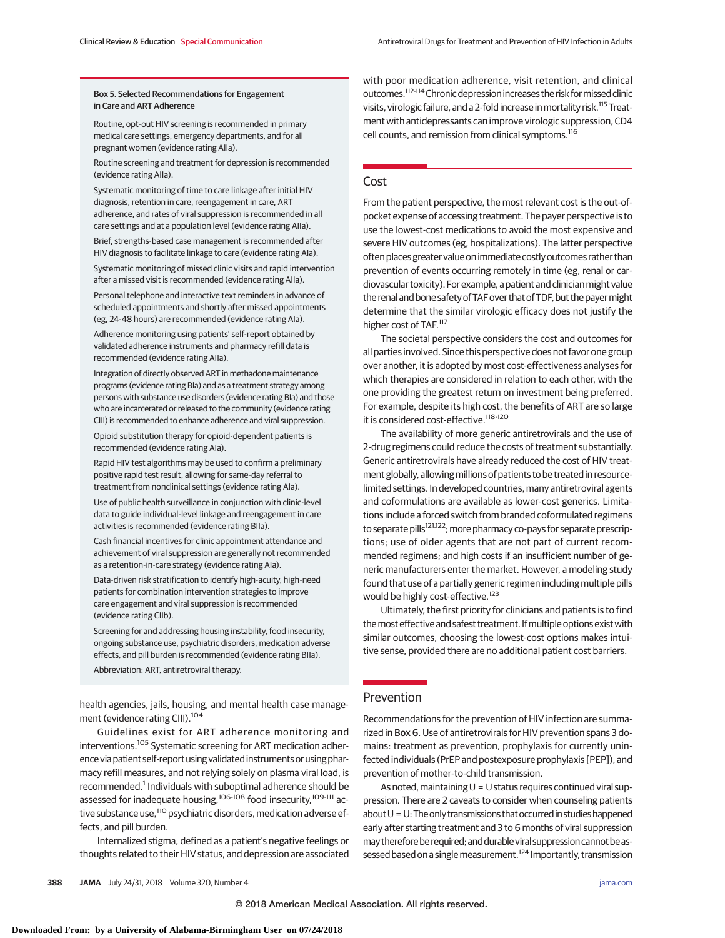## Box 5. Selected Recommendations for Engagement in Care and ART Adherence

Routine, opt-out HIV screening is recommended in primary medical care settings, emergency departments, and for all pregnant women (evidence rating AIIa).

Routine screening and treatment for depression is recommended (evidence rating AIIa).

Systematic monitoring of time to care linkage after initial HIV diagnosis, retention in care, reengagement in care, ART adherence, and rates of viral suppression is recommended in all care settings and at a population level (evidence rating AIIa).

Brief, strengths-based case management is recommended after HIV diagnosis to facilitate linkage to care (evidence rating AIa).

Systematic monitoring of missed clinic visits and rapid intervention after a missed visit is recommended (evidence rating AIIa).

Personal telephone and interactive text reminders in advance of scheduled appointments and shortly after missed appointments (eg, 24-48 hours) are recommended (evidence rating AIa).

Adherence monitoring using patients' self-report obtained by validated adherence instruments and pharmacy refill data is recommended (evidence rating AIIa).

Integration of directly observed ART in methadone maintenance programs (evidence rating BIa) and as a treatment strategy among persons with substance use disorders (evidence rating BIa) and those who are incarcerated or released to the community (evidence rating CIII) is recommended to enhance adherence and viral suppression.

Opioid substitution therapy for opioid-dependent patients is recommended (evidence rating AIa).

Rapid HIV test algorithms may be used to confirm a preliminary positive rapid test result, allowing for same-day referral to treatment from nonclinical settings (evidence rating AIa).

Use of public health surveillance in conjunction with clinic-level data to guide individual-level linkage and reengagement in care activities is recommended (evidence rating BIIa).

Cash financial incentives for clinic appointment attendance and achievement of viral suppression are generally not recommended as a retention-in-care strategy (evidence rating AIa).

Data-driven risk stratification to identify high-acuity, high-need patients for combination intervention strategies to improve care engagement and viral suppression is recommended (evidence rating CIIb).

Screening for and addressing housing instability, food insecurity, ongoing substance use, psychiatric disorders, medication adverse effects, and pill burden is recommended (evidence rating BIIa).

Abbreviation: ART, antiretroviral therapy.

health agencies, jails, housing, and mental health case management (evidence rating CIII).<sup>104</sup>

Guidelines exist for ART adherence monitoring and interventions.<sup>105</sup> Systematic screening for ART medication adherence via patient self-report using validated instruments or using pharmacy refill measures, and not relying solely on plasma viral load, is recommended.<sup>1</sup> Individuals with suboptimal adherence should be assessed for inadequate housing,<sup>106-108</sup> food insecurity,<sup>109-111</sup> active substance use,<sup>110</sup> psychiatric disorders, medication adverse effects, and pill burden.

Internalized stigma, defined as a patient's negative feelings or thoughts related to their HIV status, and depression are associated with poor medication adherence, visit retention, and clinical outcomes.112-114 Chronic depression increases the risk formissed clinic visits, virologic failure, and a 2-fold increase in mortality risk.<sup>115</sup> Treatment with antidepressants can improve virologic suppression, CD4 cell counts, and remission from clinical symptoms.<sup>116</sup>

# Cost

From the patient perspective, the most relevant cost is the out-ofpocket expense of accessing treatment. The payer perspective is to use the lowest-cost medications to avoid the most expensive and severe HIV outcomes (eg, hospitalizations). The latter perspective often places greatervalue on immediate costly outcomes rather than prevention of events occurring remotely in time (eg, renal or cardiovascular toxicity). For example, a patient and clinicianmight value the renaland bone safety of TAF over that of TDF, but the payermight determine that the similar virologic efficacy does not justify the higher cost of TAF.<sup>117</sup>

The societal perspective considers the cost and outcomes for all parties involved. Since this perspective does not favor one group over another, it is adopted by most cost-effectiveness analyses for which therapies are considered in relation to each other, with the one providing the greatest return on investment being preferred. For example, despite its high cost, the benefits of ART are so large it is considered cost-effective.<sup>118-120</sup>

The availability of more generic antiretrovirals and the use of 2-drug regimens could reduce the costs of treatment substantially. Generic antiretrovirals have already reduced the cost of HIV treatment globally, allowing millions of patients to be treated in resourcelimited settings. In developed countries, many antiretroviral agents and coformulations are available as lower-cost generics. Limitations include a forced switch from branded coformulated regimens to separate pills<sup>121,122</sup>; more pharmacy co-pays for separate prescriptions; use of older agents that are not part of current recommended regimens; and high costs if an insufficient number of generic manufacturers enter the market. However, a modeling study found that use of a partially generic regimen including multiple pills would be highly cost-effective.<sup>123</sup>

Ultimately, the first priority for clinicians and patients is to find the most effective and safest treatment. If multiple options exist with similar outcomes, choosing the lowest-cost options makes intuitive sense, provided there are no additional patient cost barriers.

# Prevention

Recommendations for the prevention of HIV infection are summarized in Box 6. Use of antiretrovirals for HIV prevention spans 3 domains: treatment as prevention, prophylaxis for currently uninfected individuals (PrEP and postexposure prophylaxis [PEP]), and prevention of mother-to-child transmission.

As noted, maintaining  $U = U$  status requires continued viral suppression. There are 2 caveats to consider when counseling patients about  $U = U$ : The only transmissions that occurred in studies happened early after starting treatment and 3 to 6 months of viral suppression may therefore be required; and durable viral suppression cannot be assessed based on a single measurement.<sup>124</sup> Importantly, transmission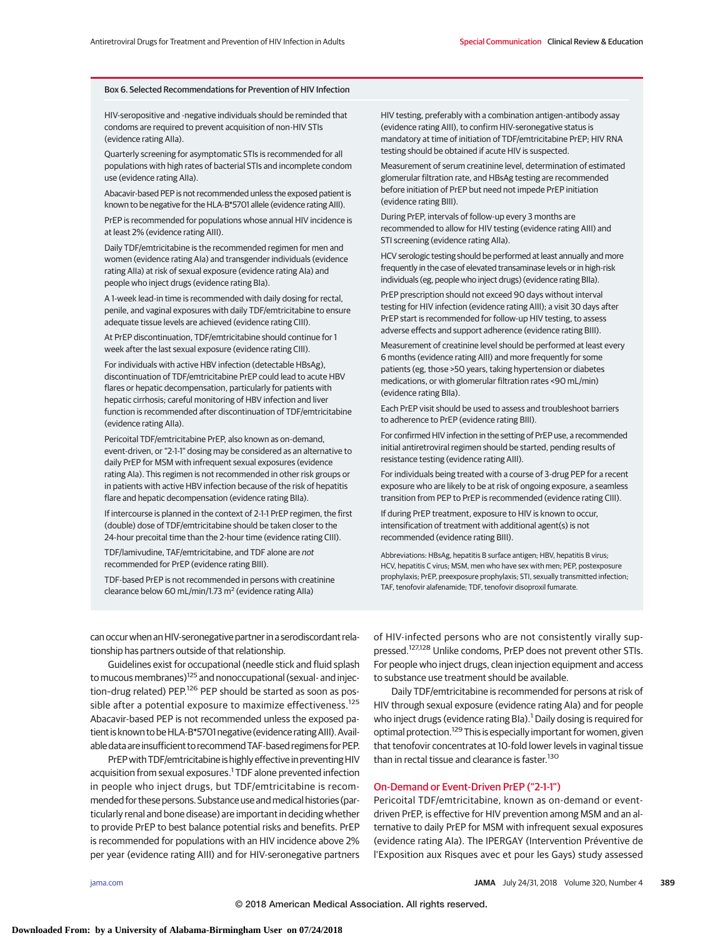# Box 6. Selected Recommendations for Prevention of HIV Infection

HIV-seropositive and -negative individuals should be reminded that condoms are required to prevent acquisition of non-HIV STIs (evidence rating AIIa).

Quarterly screening for asymptomatic STIs is recommended for all populations with high rates of bacterial STIs and incomplete condom use (evidence rating AIIa).

Abacavir-based PEP is not recommended unless the exposed patient is known to be negative for the HLA-B\*5701 allele (evidence rating AIII).

PrEP is recommended for populations whose annual HIV incidence is at least 2% (evidence rating AIII).

Daily TDF/emtricitabine is the recommended regimen for men and women (evidence rating AIa) and transgender individuals (evidence rating AIIa) at risk of sexual exposure (evidence rating AIa) and people who inject drugs (evidence rating BIa).

A 1-week lead-in time is recommended with daily dosing for rectal, penile, and vaginal exposures with daily TDF/emtricitabine to ensure adequate tissue levels are achieved (evidence rating CIII).

At PrEP discontinuation, TDF/emtricitabine should continue for 1 week after the last sexual exposure (evidence rating CIII).

For individuals with active HBV infection (detectable HBsAg), discontinuation of TDF/emtricitabine PrEP could lead to acute HBV flares or hepatic decompensation, particularly for patients with hepatic cirrhosis; careful monitoring of HBV infection and liver function is recommended after discontinuation of TDF/emtricitabine (evidence rating AIIa).

Pericoital TDF/emtricitabine PrEP, also known as on-demand, event-driven, or "2-1-1" dosing may be considered as an alternative to daily PrEP for MSM with infrequent sexual exposures (evidence rating AIa). This regimen is not recommended in other risk groups or in patients with active HBV infection because of the risk of hepatitis flare and hepatic decompensation (evidence rating BIIa).

If intercourse is planned in the context of 2-1-1 PrEP regimen, the first (double) dose of TDF/emtricitabine should be taken closer to the 24-hour precoital time than the 2-hour time (evidence rating CIII).

TDF/lamivudine, TAF/emtricitabine, and TDF alone are not recommended for PrEP (evidence rating BIII).

TDF-based PrEP is not recommended in persons with creatinine clearance below 60 mL/min/1.73  $m^2$  (evidence rating Alla)

HIV testing, preferably with a combination antigen-antibody assay (evidence rating AIII), to confirm HIV-seronegative status is mandatory at time of initiation of TDF/emtricitabine PrEP; HIV RNA testing should be obtained if acute HIV is suspected.

Measurement of serum creatinine level, determination of estimated glomerular filtration rate, and HBsAg testing are recommended before initiation of PrEP but need not impede PrEP initiation (evidence rating BIII).

During PrEP, intervals of follow-up every 3 months are recommended to allow for HIV testing (evidence rating AIII) and STI screening (evidence rating AIIa).

HCV serologic testing should be performed at least annually and more frequently in the case of elevated transaminase levels or in high-risk individuals (eg, people who inject drugs) (evidence rating BIIa).

PrEP prescription should not exceed 90 days without interval testing for HIV infection (evidence rating AIII); a visit 30 days after PrEP start is recommended for follow-up HIV testing, to assess adverse effects and support adherence (evidence rating BIII).

Measurement of creatinine level should be performed at least every 6 months (evidence rating AIII) and more frequently for some patients (eg, those >50 years, taking hypertension or diabetes medications, or with glomerular filtration rates <90 mL/min) (evidence rating BIIa).

Each PrEP visit should be used to assess and troubleshoot barriers to adherence to PrEP (evidence rating BIII).

For confirmed HIV infection in the setting of PrEP use, a recommended initial antiretroviral regimen should be started, pending results of resistance testing (evidence rating AIII).

For individuals being treated with a course of 3-drug PEP for a recent exposure who are likely to be at risk of ongoing exposure, a seamless transition from PEP to PrEP is recommended (evidence rating CIII).

If during PrEP treatment, exposure to HIV is known to occur, intensification of treatment with additional agent(s) is not recommended (evidence rating BIII).

Abbreviations: HBsAg, hepatitis B surface antigen; HBV, hepatitis B virus; HCV, hepatitis C virus; MSM, men who have sex with men; PEP, postexposure prophylaxis; PrEP, preexposure prophylaxis; STI, sexually transmitted infection; TAF, tenofovir alafenamide; TDF, tenofovir disoproxil fumarate.

can occurwhen anHIV-seronegative partner in a serodiscordant relationship has partners outside of that relationship.

Guidelines exist for occupational (needle stick and fluid splash to mucous membranes)<sup>125</sup> and nonoccupational (sexual- and injection-drug related) PEP.<sup>126</sup> PEP should be started as soon as possible after a potential exposure to maximize effectiveness.<sup>125</sup> Abacavir-based PEP is not recommended unless the exposed patient is known to be HLA-B\*5701 negative (evidence rating AIII). Available dataare insufficient to recommend TAF-based regimens for PEP.

PrEP with TDF/emtricitabine is highly effective in preventing HIV acquisition from sexual exposures.<sup>1</sup> TDF alone prevented infection in people who inject drugs, but TDF/emtricitabine is recommended for these persons.Substance use andmedical histories (particularly renal and bone disease) are important in deciding whether to provide PrEP to best balance potential risks and benefits. PrEP is recommended for populations with an HIV incidence above 2% per year (evidence rating AIII) and for HIV-seronegative partners

of HIV-infected persons who are not consistently virally suppressed.<sup>127,128</sup> Unlike condoms, PrEP does not prevent other STIs. For people who inject drugs, clean injection equipment and access to substance use treatment should be available.

Daily TDF/emtricitabine is recommended for persons at risk of HIV through sexual exposure (evidence rating AIa) and for people who inject drugs (evidence rating BIa).<sup>1</sup> Daily dosing is required for optimal protection.<sup>129</sup> This is especially important for women, given that tenofovir concentrates at 10-fold lower levels in vaginal tissue than in rectal tissue and clearance is faster.<sup>130</sup>

## On-Demand or Event-Driven PrEP ("2-1-1")

Pericoital TDF/emtricitabine, known as on-demand or eventdriven PrEP, is effective for HIV prevention among MSM and an alternative to daily PrEP for MSM with infrequent sexual exposures (evidence rating AIa). The IPERGAY (Intervention Préventive de l'Exposition aux Risques avec et pour les Gays) study assessed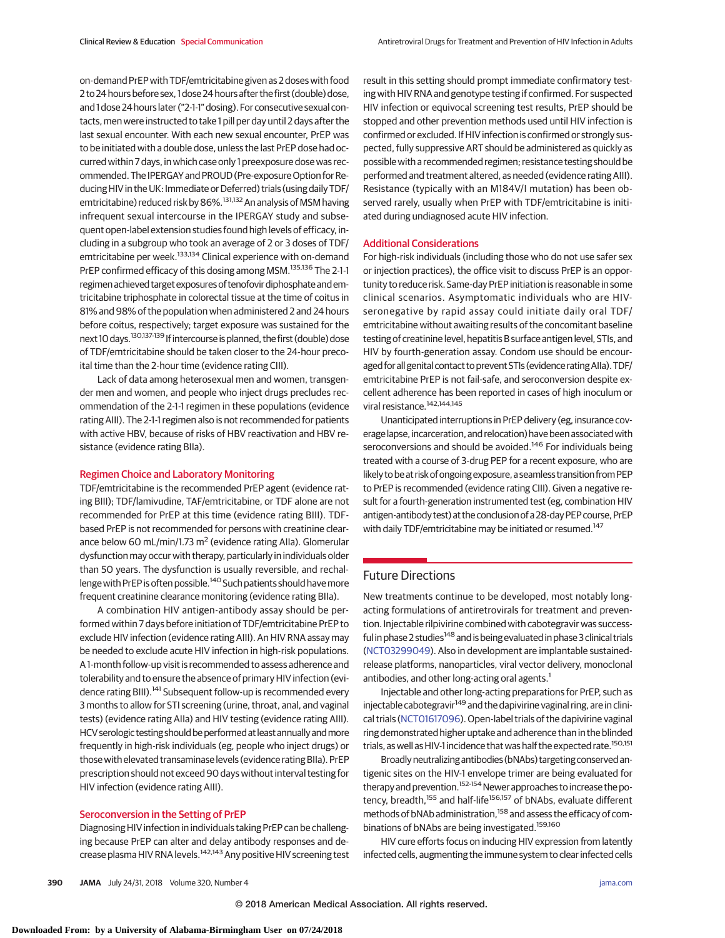on-demand PrEP with TDF/emtricitabine given as 2 doses with food 2 to 24 hours before sex, 1 dose 24 hours after the first (double) dose, and 1 dose 24 hours later ("2-1-1" dosing). For consecutive sexual contacts, men were instructed to take 1 pill per day until 2 days after the last sexual encounter. With each new sexual encounter, PrEP was to be initiated with a double dose, unless the last PrEP dose had occurred within 7 days, in which case only 1 preexposure dose was recommended. The IPERGAY and PROUD (Pre-exposureOption for ReducingHIV in the UK: Immediate or Deferred) trials (using daily TDF/ emtricitabine) reduced risk by 86%.<sup>131,132</sup> An analysis of MSM having infrequent sexual intercourse in the IPERGAY study and subsequent open-label extension studies found high levels of efficacy, including in a subgroup who took an average of 2 or 3 doses of TDF/ emtricitabine per week.<sup>133,134</sup> Clinical experience with on-demand PrEP confirmed efficacy of this dosing among MSM.<sup>135,136</sup> The 2-1-1 regimen achieved target exposures of tenofovir diphosphate and emtricitabine triphosphate in colorectal tissue at the time of coitus in 81% and 98% of the population when administered 2 and 24 hours before coitus, respectively; target exposure was sustained for the next 10 days.<sup>130,137-139</sup> If intercourse is planned, the first (double) dose of TDF/emtricitabine should be taken closer to the 24-hour precoital time than the 2-hour time (evidence rating CIII).

Lack of data among heterosexual men and women, transgender men and women, and people who inject drugs precludes recommendation of the 2-1-1 regimen in these populations (evidence rating AIII). The 2-1-1 regimen also is not recommended for patients with active HBV, because of risks of HBV reactivation and HBV resistance (evidence rating BIIa).

## Regimen Choice and Laboratory Monitoring

TDF/emtricitabine is the recommended PrEP agent (evidence rating BIII); TDF/lamivudine, TAF/emtricitabine, or TDF alone are not recommended for PrEP at this time (evidence rating BIII). TDFbased PrEP is not recommended for persons with creatinine clearance below 60 mL/min/1.73  $m^2$  (evidence rating Alla). Glomerular dysfunction may occur with therapy, particularly in individuals older than 50 years. The dysfunction is usually reversible, and rechallenge with PrEP is often possible.<sup>140</sup> Such patients should have more frequent creatinine clearance monitoring (evidence rating BIIa).

A combination HIV antigen-antibody assay should be performed within 7 days before initiation of TDF/emtricitabine PrEP to exclude HIV infection (evidence rating AIII). An HIV RNA assay may be needed to exclude acute HIV infection in high-risk populations. A 1-month follow-up visit is recommended to assess adherence and tolerability and to ensure the absence of primary HIV infection (evidence rating BIII).<sup>141</sup> Subsequent follow-up is recommended every 3 months to allow for STI screening (urine, throat, anal, and vaginal tests) (evidence rating AIIa) and HIV testing (evidence rating AIII). HCV serologic testing should be performed at least annually and more frequently in high-risk individuals (eg, people who inject drugs) or those with elevated transaminase levels (evidence rating BIIa). PrEP prescription should not exceed 90 days without interval testing for HIV infection (evidence rating AIII).

## Seroconversion in the Setting of PrEP

Diagnosing HIV infection in individuals taking PrEP can be challenging because PrEP can alter and delay antibody responses and decrease plasma HIV RNA levels.<sup>142,143</sup> Any positive HIV screening test result in this setting should prompt immediate confirmatory testing with HIV RNA and genotype testing if confirmed. For suspected HIV infection or equivocal screening test results, PrEP should be stopped and other prevention methods used until HIV infection is confirmed or excluded. If HIV infection is confirmed or strongly suspected, fully suppressive ART should be administered as quickly as possible with a recommended regimen; resistance testing should be performed and treatment altered, as needed (evidence rating AIII). Resistance (typically with an M184V/I mutation) has been observed rarely, usually when PrEP with TDF/emtricitabine is initiated during undiagnosed acute HIV infection.

## Additional Considerations

For high-risk individuals (including those who do not use safer sex or injection practices), the office visit to discuss PrEP is an opportunity to reduce risk. Same-day PrEP initiation is reasonable in some clinical scenarios. Asymptomatic individuals who are HIVseronegative by rapid assay could initiate daily oral TDF/ emtricitabine without awaiting results of the concomitant baseline testing of creatinine level, hepatitis B surface antigen level, STIs, and HIV by fourth-generation assay. Condom use should be encouraged forall genital contact to preventSTIs (evidence ratingAIIa). TDF/ emtricitabine PrEP is not fail-safe, and seroconversion despite excellent adherence has been reported in cases of high inoculum or viral resistance.<sup>142,144,145</sup>

Unanticipated interruptions in PrEP delivery (eg, insurance coverage lapse, incarceration, and relocation) have been associatedwith seroconversions and should be avoided.<sup>146</sup> For individuals being treated with a course of 3-drug PEP for a recent exposure, who are likely to be at risk of ongoing exposure, a seamless transition from PEP to PrEP is recommended (evidence rating CIII). Given a negative result for a fourth-generation instrumented test (eg, combination HIV antigen-antibody test) at the conclusion of a 28-day PEP course, PrEP with daily TDF/emtricitabine may be initiated or resumed.<sup>147</sup>

# Future Directions

New treatments continue to be developed, most notably longacting formulations of antiretrovirals for treatment and prevention. Injectable rilpivirine combined with cabotegravir was successful in phase 2 studies $^{148}$  and is being evaluated in phase 3 clinical trials [\(NCT03299049\)](https://clinicaltrials.gov/ct2/show/NCT03299049). Also in development are implantable sustainedrelease platforms, nanoparticles, viral vector delivery, monoclonal antibodies, and other long-acting oral agents.<sup>1</sup>

Injectable and other long-acting preparations for PrEP, such as injectable cabotegravir<sup>149</sup> and the dapivirine vaginal ring, are in clinical trials [\(NCT01617096\)](https://clinicaltrials.gov/ct2/show/NCT01617096). Open-label trials of the dapivirine vaginal ring demonstrated higher uptake and adherence than in the blinded trials, as well as HIV-1 incidence that was half the expected rate.<sup>150,151</sup>

Broadly neutralizingantibodies (bNAbs) targeting conservedantigenic sites on the HIV-1 envelope trimer are being evaluated for therapy and prevention.<sup>152-154</sup> Newer approaches to increase the potency, breadth,<sup>155</sup> and half-life<sup>156,157</sup> of bNAbs, evaluate different methods of bNAb administration,<sup>158</sup> and assess the efficacy of combinations of bNAbs are being investigated.<sup>159,160</sup>

HIV cure efforts focus on inducing HIV expression from latently infected cells, augmenting the immune system to clear infected cells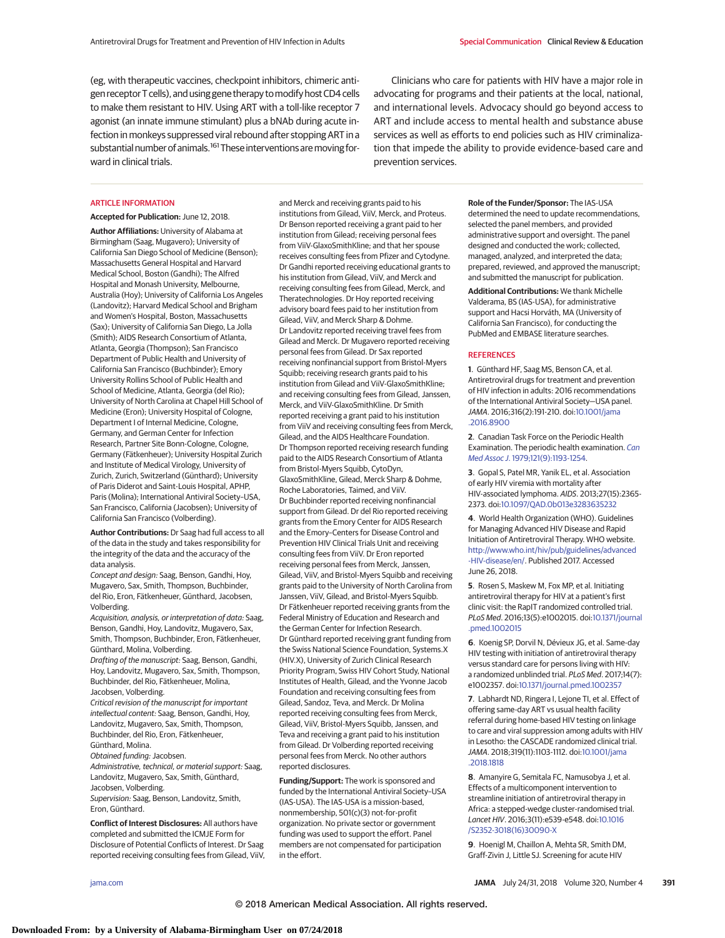(eg, with therapeutic vaccines, checkpoint inhibitors, chimeric antigen receptor T cells), and using gene therapy tomodify host CD4 cells to make them resistant to HIV. Using ART with a toll-like receptor 7 agonist (an innate immune stimulant) plus a bNAb during acute infection in monkeys suppressed viral rebound after stopping ART in a substantial number of animals.<sup>161</sup> These interventions are moving forward in clinical trials.

Clinicians who care for patients with HIV have a major role in advocating for programs and their patients at the local, national, and international levels. Advocacy should go beyond access to ART and include access to mental health and substance abuse services as well as efforts to end policies such as HIV criminalization that impede the ability to provide evidence-based care and prevention services.

## ARTICLE INFORMATION

**Accepted for Publication:** June 12, 2018.

**Author Affiliations:** University of Alabama at Birmingham (Saag, Mugavero); University of California San Diego School of Medicine (Benson); Massachusetts General Hospital and Harvard Medical School, Boston (Gandhi); The Alfred Hospital and Monash University, Melbourne, Australia (Hoy); University of California Los Angeles (Landovitz); Harvard Medical School and Brigham and Women's Hospital, Boston, Massachusetts (Sax); University of California San Diego, La Jolla (Smith); AIDS Research Consortium of Atlanta, Atlanta, Georgia (Thompson); San Francisco Department of Public Health and University of California San Francisco (Buchbinder); Emory University Rollins School of Public Health and School of Medicine, Atlanta, Georgia (del Rio); University of North Carolina at Chapel Hill School of Medicine (Eron); University Hospital of Cologne, Department I of Internal Medicine, Cologne, Germany, and German Center for Infection Research, Partner Site Bonn-Cologne, Cologne, Germany (Fätkenheuer); University Hospital Zurich and Institute of Medical Virology, University of Zurich, Zurich, Switzerland (Günthard); University of Paris Diderot and Saint-Louis Hospital, APHP, Paris (Molina); International Antiviral Society–USA, San Francisco, California (Jacobsen); University of California San Francisco (Volberding).

**Author Contributions:** Dr Saag had full access to all of the data in the study and takes responsibility for the integrity of the data and the accuracy of the data analysis.

Concept and design: Saag, Benson, Gandhi, Hoy, Mugavero, Sax, Smith, Thompson, Buchbinder, del Rio, Eron, Fätkenheuer, Günthard, Jacobsen, Volberding.

Acquisition, analysis, or interpretation of data: Saag, Benson, Gandhi, Hoy, Landovitz, Mugavero, Sax, Smith, Thompson, Buchbinder, Eron, Fätkenheuer, Günthard, Molina, Volberding. Drafting of the manuscript: Saag, Benson, Gandhi, Hoy, Landovitz, Mugavero, Sax, Smith, Thompson,

Buchbinder, del Rio, Fätkenheuer, Molina, Jacobsen, Volberding. Critical revision of the manuscript for important

intellectual content: Saag, Benson, Gandhi, Hoy, Landovitz, Mugavero, Sax, Smith, Thompson, Buchbinder, del Rio, Eron, Fätkenheuer, Günthard, Molina.

Obtained funding: Jacobsen.

Administrative, technical, or material support: Saag, Landovitz, Mugavero, Sax, Smith, Günthard, Jacobsen, Volberding.

Supervision: Saag, Benson, Landovitz, Smith, Eron, Günthard.

**Conflict of Interest Disclosures:** All authors have completed and submitted the ICMJE Form for Disclosure of Potential Conflicts of Interest. Dr Saag reported receiving consulting fees from Gilead, ViiV, and Merck and receiving grants paid to his institutions from Gilead, ViiV, Merck, and Proteus. Dr Benson reported receiving a grant paid to her institution from Gilead; receiving personal fees from ViiV-GlaxoSmithKline; and that her spouse receives consulting fees from Pfizer and Cytodyne. Dr Gandhi reported receiving educational grants to his institution from Gilead, ViiV, and Merck and receiving consulting fees from Gilead, Merck, and Theratechnologies. Dr Hoy reported receiving advisory board fees paid to her institution from Gilead, ViiV, and Merck Sharp & Dohme. Dr Landovitz reported receiving travel fees from Gilead and Merck. Dr Mugavero reported receiving personal fees from Gilead. Dr Sax reported receiving nonfinancial support from Bristol-Myers Squibb; receiving research grants paid to his institution from Gilead and ViiV-GlaxoSmithKline; and receiving consulting fees from Gilead, Janssen, Merck, and ViiV-GlaxoSmithKline. Dr Smith reported receiving a grant paid to his institution from ViiV and receiving consulting fees from Merck, Gilead, and the AIDS Healthcare Foundation. Dr Thompson reported receiving research funding paid to the AIDS Research Consortium of Atlanta from Bristol-Myers Squibb, CytoDyn, GlaxoSmithKline, Gilead, Merck Sharp & Dohme, Roche Laboratories, Taimed, and ViiV. Dr Buchbinder reported receiving nonfinancial support from Gilead. Dr del Rio reported receiving grants from the Emory Center for AIDS Research and the Emory–Centers for Disease Control and Prevention HIV Clinical Trials Unit and receiving consulting fees from ViiV. Dr Eron reported receiving personal fees from Merck, Janssen, Gilead, ViiV, and Bristol-Myers Squibb and receiving grants paid to the University of North Carolina from Janssen, ViiV, Gilead, and Bristol-Myers Squibb. Dr Fätkenheuer reported receiving grants from the Federal Ministry of Education and Research and the German Center for Infection Research. Dr Günthard reported receiving grant funding from the Swiss National Science Foundation, Systems.X (HIV.X), University of Zurich Clinical Research Priority Program, Swiss HIV Cohort Study, National Institutes of Health, Gilead, and the Yvonne Jacob Foundation and receiving consulting fees from Gilead, Sandoz, Teva, and Merck. Dr Molina reported receiving consulting fees from Merck, Gilead, ViiV, Bristol-Myers Squibb, Janssen, and Teva and receiving a grant paid to his institution from Gilead. Dr Volberding reported receiving personal fees from Merck. No other authors reported disclosures.

**Funding/Support:** The work is sponsored and funded by the International Antiviral Society–USA (IAS-USA). The IAS-USA is a mission-based, nonmembership, 501(c)(3) not-for-profit organization. No private sector or government funding was used to support the effort. Panel members are not compensated for participation in the effort.

**Role of the Funder/Sponsor:** The IAS-USA determined the need to update recommendations, selected the panel members, and provided administrative support and oversight. The panel designed and conducted the work; collected, managed, analyzed, and interpreted the data; prepared, reviewed, and approved the manuscript; and submitted the manuscript for publication.

**Additional Contributions:** We thank Michelle Valderama, BS (IAS-USA), for administrative support and Hacsi Horváth, MA (University of California San Francisco), for conducting the PubMed and EMBASE literature searches.

#### *DEEEDENCES*

**1**. Günthard HF, Saag MS, Benson CA, et al. Antiretroviral drugs for treatment and prevention of HIV infection in adults: 2016 recommendations of the International Antiviral Society—USA panel. JAMA. 2016;316(2):191-210. doi[:10.1001/jama](https://jama.jamanetwork.com/article.aspx?doi=10.1001/jama.2016.8900&utm_campaign=articlePDF%26utm_medium=articlePDFlink%26utm_source=articlePDF%26utm_content=jama.2018.8431) [.2016.8900](https://jama.jamanetwork.com/article.aspx?doi=10.1001/jama.2016.8900&utm_campaign=articlePDF%26utm_medium=articlePDFlink%26utm_source=articlePDF%26utm_content=jama.2018.8431)

**2**. Canadian Task Force on the Periodic Health Examination. The periodic health examination. [Can](https://www.ncbi.nlm.nih.gov/pubmed/115569) Med Assoc J[. 1979;121\(9\):1193-1254.](https://www.ncbi.nlm.nih.gov/pubmed/115569)

**3**. Gopal S, Patel MR, Yanik EL, et al. Association of early HIV viremia with mortality after HIV-associated lymphoma. AIDS. 2013;27(15):2365- 2373. doi[:10.1097/QAD.0b013e3283635232](https://dx.doi.org/10.1097/QAD.0b013e3283635232)

**4**. World Health Organization (WHO). Guidelines for Managing Advanced HIV Disease and Rapid Initiation of Antiretroviral Therapy. WHO website. [http://www.who.int/hiv/pub/guidelines/advanced](http://www.who.int/hiv/pub/guidelines/advanced-HIV-disease/en/) [-HIV-disease/en/.](http://www.who.int/hiv/pub/guidelines/advanced-HIV-disease/en/) Published 2017. Accessed June 26, 2018.

**5**. Rosen S, Maskew M, Fox MP, et al. Initiating antiretroviral therapy for HIV at a patient's first clinic visit: the RapIT randomized controlled trial. PLoS Med. 2016;13(5):e1002015. doi[:10.1371/journal](https://dx.doi.org/10.1371/journal.pmed.1002015) [.pmed.1002015](https://dx.doi.org/10.1371/journal.pmed.1002015)

**6**. Koenig SP, Dorvil N, Dévieux JG, et al. Same-day HIV testing with initiation of antiretroviral therapy versus standard care for persons living with HIV: a randomized unblinded trial. PLoS Med. 2017;14(7): e1002357. doi[:10.1371/journal.pmed.1002357](https://dx.doi.org/10.1371/journal.pmed.1002357)

**7**. Labhardt ND, Ringera I, Lejone TI, et al. Effect of offering same-day ART vs usual health facility referral during home-based HIV testing on linkage to care and viral suppression among adults with HIV in Lesotho: the CASCADE randomized clinical trial. JAMA. 2018;319(11):1103-1112. doi[:10.1001/jama](https://jama.jamanetwork.com/article.aspx?doi=10.1001/jama.2018.1818&utm_campaign=articlePDF%26utm_medium=articlePDFlink%26utm_source=articlePDF%26utm_content=jama.2018.8431) [.2018.1818](https://jama.jamanetwork.com/article.aspx?doi=10.1001/jama.2018.1818&utm_campaign=articlePDF%26utm_medium=articlePDFlink%26utm_source=articlePDF%26utm_content=jama.2018.8431)

**8**. Amanyire G, Semitala FC, Namusobya J, et al. Effects of a multicomponent intervention to streamline initiation of antiretroviral therapy in Africa: a stepped-wedge cluster-randomised trial. Lancet HIV. 2016;3(11):e539-e548. doi[:10.1016](https://dx.doi.org/10.1016/S2352-3018(16)30090-X) [/S2352-3018\(16\)30090-X](https://dx.doi.org/10.1016/S2352-3018(16)30090-X)

**9**. Hoenigl M, Chaillon A, Mehta SR, Smith DM, Graff-Zivin J, Little SJ. Screening for acute HIV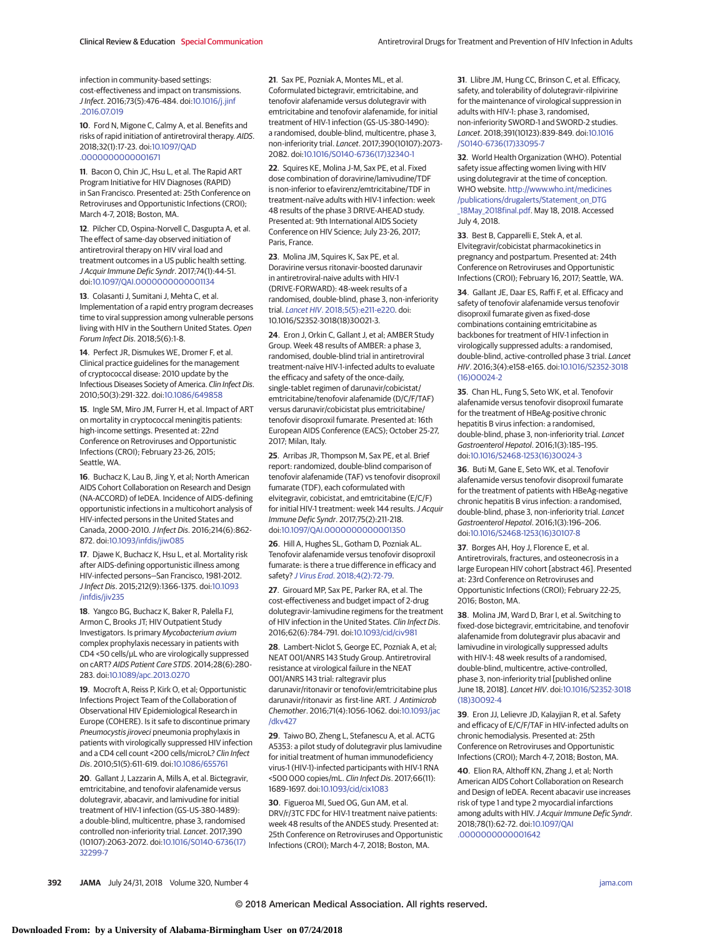infection in community-based settings: cost-effectiveness and impact on transmissions. J Infect. 2016;73(5):476-484. doi[:10.1016/j.jinf](https://dx.doi.org/10.1016/j.jinf.2016.07.019) [.2016.07.019](https://dx.doi.org/10.1016/j.jinf.2016.07.019)

**10**. Ford N, Migone C, Calmy A, et al. Benefits and risks of rapid initiation of antiretroviral therapy. AIDS. 2018;32(1):17-23. doi[:10.1097/QAD](https://dx.doi.org/10.1097/QAD.0000000000001671) [.0000000000001671](https://dx.doi.org/10.1097/QAD.0000000000001671)

**11**. Bacon O, Chin JC, Hsu L, et al. The Rapid ART Program Initiative for HIV Diagnoses (RAPID) in San Francisco. Presented at: 25th Conference on Retroviruses and Opportunistic Infections (CROI); March 4-7, 2018; Boston, MA.

**12**. Pilcher CD, Ospina-Norvell C, Dasgupta A, et al. The effect of same-day observed initiation of antiretroviral therapy on HIV viral load and treatment outcomes in a US public health setting. J Acquir Immune Defic Syndr. 2017;74(1):44-51. doi[:10.1097/QAI.0000000000001134](https://dx.doi.org/10.1097/QAI.0000000000001134)

**13**. Colasanti J, Sumitani J, Mehta C, et al. Implementation of a rapid entry program decreases time to viral suppression among vulnerable persons living with HIV in the Southern United States. Open Forum Infect Dis. 2018;5(6):1-8.

**14**. Perfect JR, Dismukes WE, Dromer F, et al. Clinical practice guidelines for the management of cryptococcal disease: 2010 update by the Infectious Diseases Society of America. Clin Infect Dis. 2010;50(3):291-322. doi[:10.1086/649858](https://dx.doi.org/10.1086/649858)

**15**. Ingle SM, Miro JM, Furrer H, et al. Impact of ART on mortality in cryptococcal meningitis patients: high-income settings. Presented at: 22nd Conference on Retroviruses and Opportunistic Infections (CROI); February 23-26, 2015; Seattle, WA.

**16**. Buchacz K, Lau B, Jing Y, et al; North American AIDS Cohort Collaboration on Research and Design (NA-ACCORD) of IeDEA. Incidence of AIDS-defining opportunistic infections in a multicohort analysis of HIV-infected persons in the United States and Canada, 2000-2010.J Infect Dis. 2016;214(6):862- 872. doi[:10.1093/infdis/jiw085](https://dx.doi.org/10.1093/infdis/jiw085)

**17**. Djawe K, Buchacz K, Hsu L, et al. Mortality risk after AIDS-defining opportunistic illness among HIV-infected persons—San Francisco, 1981-2012. J Infect Dis. 2015;212(9):1366-1375. doi[:10.1093](https://dx.doi.org/10.1093/infdis/jiv235) [/infdis/jiv235](https://dx.doi.org/10.1093/infdis/jiv235)

**18**. Yangco BG, Buchacz K, Baker R, Palella FJ, Armon C, Brooks JT; HIV Outpatient Study Investigators. Is primary Mycobacterium avium complex prophylaxis necessary in patients with CD4 <50 cells/μL who are virologically suppressed on cART? AIDS Patient Care STDS. 2014;28(6):280- 283. doi[:10.1089/apc.2013.0270](https://dx.doi.org/10.1089/apc.2013.0270)

**19**. Mocroft A, Reiss P, Kirk O, et al; Opportunistic Infections Project Team of the Collaboration of Observational HIV Epidemiological Research in Europe (COHERE). Is it safe to discontinue primary Pneumocystis jiroveci pneumonia prophylaxis in patients with virologically suppressed HIV infection and a CD4 cell count <200 cells/microL? Clin Infect Dis. 2010;51(5):611-619. doi[:10.1086/655761](https://dx.doi.org/10.1086/655761)

**20**. Gallant J, Lazzarin A, Mills A, et al. Bictegravir, emtricitabine, and tenofovir alafenamide versus dolutegravir, abacavir, and lamivudine for initial treatment of HIV-1 infection (GS-US-380-1489): a double-blind, multicentre, phase 3, randomised controlled non-inferiority trial. Lancet. 2017;390 (10107):2063-2072. doi[:10.1016/S0140-6736\(17\)](https://dx.doi.org/10.1016/S0140-6736(17)32299-7) [32299-7](https://dx.doi.org/10.1016/S0140-6736(17)32299-7)

**21**. Sax PE, Pozniak A, Montes ML, et al. Coformulated bictegravir, emtricitabine, and tenofovir alafenamide versus dolutegravir with emtricitabine and tenofovir alafenamide, for initial treatment of HIV-1 infection (GS-US-380-1490): a randomised, double-blind, multicentre, phase 3, non-inferiority trial. Lancet. 2017;390(10107):2073- 2082. doi[:10.1016/S0140-6736\(17\)32340-1](https://dx.doi.org/10.1016/S0140-6736(17)32340-1)

**22**. Squires KE, Molina J-M, Sax PE, et al. Fixed dose combination of doravirine/lamivudine/TDF is non-inferior to efavirenz/emtricitabine/TDF in treatment-naïve adults with HIV-1 infection: week 48 results of the phase 3 DRIVE-AHEAD study. Presented at: 9th International AIDS Society Conference on HIV Science; July 23-26, 2017; Paris, France.

**23**. Molina JM, Squires K, Sax PE, et al. Doravirine versus ritonavir-boosted darunavir in antiretroviral-naive adults with HIV-1 (DRIVE-FORWARD): 48-week results of a randomised, double-blind, phase 3, non-inferiority trial. Lancet HIV[. 2018;5\(5\):e211-e220.](https://www.ncbi.nlm.nih.gov/pubmed/29592840) doi: 10.1016/S2352-3018(18)30021-3.

**24**. Eron J, Orkin C, Gallant J, et al; AMBER Study Group. Week 48 results of AMBER: a phase 3, randomised, double-blind trial in antiretroviral treatment-naïve HIV-1-infected adults to evaluate the efficacy and safety of the once-daily, single-tablet regimen of darunavir/cobicistat/ emtricitabine/tenofovir alafenamide (D/C/F/TAF) versus darunavir/cobicistat plus emtricitabine/ tenofovir disoproxil fumarate. Presented at: 16th European AIDS Conference (EACS); October 25-27, 2017; Milan, Italy.

**25**. Arribas JR, Thompson M, Sax PE, et al. Brief report: randomized, double-blind comparison of tenofovir alafenamide (TAF) vs tenofovir disoproxil fumarate (TDF), each coformulated with elvitegravir, cobicistat, and emtricitabine (E/C/F) for initial HIV-1 treatment: week 144 results. J Acquir Immune Defic Syndr. 2017;75(2):211-218. doi[:10.1097/QAI.0000000000001350](https://dx.doi.org/10.1097/QAI.0000000000001350)

**26**. Hill A, Hughes SL, Gotham D, Pozniak AL. Tenofovir alafenamide versus tenofovir disoproxil fumarate: is there a true difference in efficacy and safety? J Virus Erad[. 2018;4\(2\):72-79.](https://www.ncbi.nlm.nih.gov/pubmed/29682298)

**27**. Girouard MP, Sax PE, Parker RA, et al. The cost-effectiveness and budget impact of 2-drug dolutegravir-lamivudine regimens for the treatment of HIV infection in the United States. Clin Infect Dis. 2016;62(6):784-791. doi[:10.1093/cid/civ981](https://dx.doi.org/10.1093/cid/civ981)

**28**. Lambert-Niclot S, George EC, Pozniak A, et al; NEAT 001/ANRS 143 Study Group. Antiretroviral resistance at virological failure in the NEAT 001/ANRS 143 trial: raltegravir plus darunavir/ritonavir or tenofovir/emtricitabine plus darunavir/ritonavir as first-line ART. J Antimicrob Chemother. 2016;71(4):1056-1062. doi[:10.1093/jac](https://dx.doi.org/10.1093/jac/dkv427) [/dkv427](https://dx.doi.org/10.1093/jac/dkv427)

**29**. Taiwo BO, Zheng L, Stefanescu A, et al. ACTG A5353: a pilot study of dolutegravir plus lamivudine for initial treatment of human immunodeficiency virus-1 (HIV-1)-infected participants with HIV-1 RNA <500 000 copies/mL. Clin Infect Dis. 2017;66(11): 1689-1697. doi[:10.1093/cid/cix1083](https://dx.doi.org/10.1093/cid/cix1083)

**30**. Figueroa MI, Sued OG, Gun AM, et al. DRV/r/3TC FDC for HIV-1 treatment naive patients: week 48 results of the ANDES study. Presented at: 25th Conference on Retroviruses and Opportunistic Infections (CROI); March 4-7, 2018; Boston, MA.

**31**. Llibre JM, Hung CC, Brinson C, et al. Efficacy, safety, and tolerability of dolutegravir-rilpivirine for the maintenance of virological suppression in adults with HIV-1: phase 3, randomised, non-inferiority SWORD-1 and SWORD-2 studies. Lancet. 2018;391(10123):839-849. doi[:10.1016](https://dx.doi.org/10.1016/S0140-6736(17)33095-7) [/S0140-6736\(17\)33095-7](https://dx.doi.org/10.1016/S0140-6736(17)33095-7)

**32**. World Health Organization (WHO). Potential safety issue affecting women living with HIV using dolutegravir at the time of conception. WHO website. [http://www.who.int/medicines](http://www.who.int/medicines/publications/drugalerts/Statement_on_DTG_18May_2018final.pdf) [/publications/drugalerts/Statement\\_on\\_DTG](http://www.who.int/medicines/publications/drugalerts/Statement_on_DTG_18May_2018final.pdf) [\\_18May\\_2018final.pdf.](http://www.who.int/medicines/publications/drugalerts/Statement_on_DTG_18May_2018final.pdf) May 18, 2018. Accessed July 4, 2018.

**33**. Best B, Capparelli E, Stek A, et al. Elvitegravir/cobicistat pharmacokinetics in pregnancy and postpartum. Presented at: 24th Conference on Retroviruses and Opportunistic Infections (CROI); February 16, 2017; Seattle, WA.

**34**. Gallant JE, Daar ES, Raffi F, et al. Efficacy and safety of tenofovir alafenamide versus tenofovir disoproxil fumarate given as fixed-dose combinations containing emtricitabine as backbones for treatment of HIV-1 infection in virologically suppressed adults: a randomised, double-blind, active-controlled phase 3 trial. Lancet HIV. 2016;3(4):e158-e165. doi[:10.1016/S2352-3018](https://dx.doi.org/10.1016/S2352-3018(16)00024-2) [\(16\)00024-2](https://dx.doi.org/10.1016/S2352-3018(16)00024-2)

**35**. Chan HL, Fung S, Seto WK, et al. Tenofovir alafenamide versus tenofovir disoproxil fumarate for the treatment of HBeAg-positive chronic hepatitis B virus infection: a randomised, double-blind, phase 3, non-inferiority trial. Lancet Gastroenterol Hepatol. 2016;1(3):185–195. doi[:10.1016/S2468-1253\(16\)30024-3](https://dx.doi.org/10.1016/S2468-1253(16)30024-3)

**36**. Buti M, Gane E, Seto WK, et al. Tenofovir alafenamide versus tenofovir disoproxil fumarate for the treatment of patients with HBeAg-negative chronic hepatitis B virus infection: a randomised, double-blind, phase 3, non-inferiority trial. Lancet Gastroenterol Hepatol. 2016;1(3):196–206. doi[:10.1016/S2468-1253\(16\)30107-8](https://dx.doi.org/10.1016/S2468-1253(16)30107-8)

**37**. Borges AH, Hoy J, Florence E, et al. Antiretrovirals, fractures, and osteonecrosis in a large European HIV cohort [abstract 46]. Presented at: 23rd Conference on Retroviruses and Opportunistic Infections (CROI); February 22-25, 2016; Boston, MA.

**38**. Molina JM, Ward D, Brar I, et al. Switching to fixed-dose bictegravir, emtricitabine, and tenofovir alafenamide from dolutegravir plus abacavir and lamivudine in virologically suppressed adults with HIV-1: 48 week results of a randomised, double-blind, multicentre, active-controlled, phase 3, non-inferiority trial [published online June 18, 2018]. Lancet HIV. doi[:10.1016/S2352-3018](https://dx.doi.org/10.1016/S2352-3018(18)30092-4) [\(18\)30092-4](https://dx.doi.org/10.1016/S2352-3018(18)30092-4)

**39**. Eron JJ, Lelievre JD, Kalayjian R, et al. Safety and efficacy of E/C/F/TAF in HIV-infected adults on chronic hemodialysis. Presented at: 25th Conference on Retroviruses and Opportunistic Infections (CROI); March 4-7, 2018; Boston, MA.

**40**. Elion RA, Althoff KN, Zhang J, et al; North American AIDS Cohort Collaboration on Research and Design of IeDEA. Recent abacavir use increases risk of type 1 and type 2 myocardial infarctions among adults with HIV. J Acquir Immune Defic Syndr. 2018;78(1):62-72. doi[:10.1097/QAI](https://dx.doi.org/10.1097/QAI.0000000000001642) [.0000000000001642](https://dx.doi.org/10.1097/QAI.0000000000001642)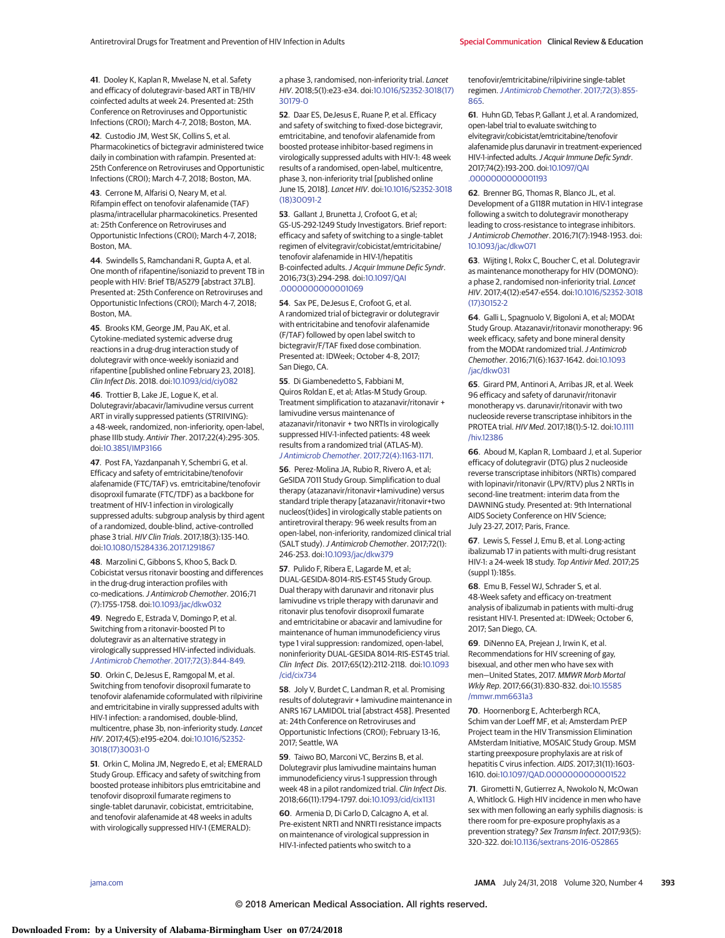**41**. Dooley K, Kaplan R, Mwelase N, et al. Safety and efficacy of dolutegravir-based ART in TB/HIV coinfected adults at week 24. Presented at: 25th Conference on Retroviruses and Opportunistic Infections (CROI); March 4-7, 2018; Boston, MA.

**42**. Custodio JM, West SK, Collins S, et al. Pharmacokinetics of bictegravir administered twice daily in combination with rafampin. Presented at: 25th Conference on Retroviruses and Opportunistic Infections (CROI); March 4-7, 2018; Boston, MA.

**43**. Cerrone M, Alfarisi O, Neary M, et al. Rifampin effect on tenofovir alafenamide (TAF) plasma/intracellular pharmacokinetics. Presented at: 25th Conference on Retroviruses and Opportunistic Infections (CROI); March 4-7, 2018; Boston, MA.

**44**. Swindells S, Ramchandani R, Gupta A, et al. One month of rifapentine/isoniazid to prevent TB in people with HIV: Brief TB/A5279 [abstract 37LB]. Presented at: 25th Conference on Retroviruses and Opportunistic Infections (CROI); March 4-7, 2018; Boston, MA.

**45**. Brooks KM, George JM, Pau AK, et al. Cytokine-mediated systemic adverse drug reactions in a drug-drug interaction study of dolutegravir with once-weekly isoniazid and rifapentine [published online February 23, 2018]. Clin Infect Dis. 2018. doi[:10.1093/cid/ciy082](https://dx.doi.org/10.1093/cid/ciy082)

**46**. Trottier B, Lake JE, Logue K, et al. Dolutegravir/abacavir/lamivudine versus current ART in virally suppressed patients (STRIIVING): a 48-week, randomized, non-inferiority, open-label, phase IIIb study. Antivir Ther. 2017;22(4):295-305. doi[:10.3851/IMP3166](https://dx.doi.org/10.3851/IMP3166)

**47**. Post FA, Yazdanpanah Y, Schembri G, et al. Efficacy and safety of emtricitabine/tenofovir alafenamide (FTC/TAF) vs. emtricitabine/tenofovir disoproxil fumarate (FTC/TDF) as a backbone for treatment of HIV-1 infection in virologically suppressed adults: subgroup analysis by third agent of a randomized, double-blind, active-controlled phase 3 trial. HIV Clin Trials. 2017;18(3):135-140. doi[:10.1080/15284336.2017.1291867](https://dx.doi.org/10.1080/15284336.2017.1291867)

**48**. Marzolini C, Gibbons S, Khoo S, Back D. Cobicistat versus ritonavir boosting and differences in the drug-drug interaction profiles with co-medications.J Antimicrob Chemother. 2016;71 (7):1755-1758. doi[:10.1093/jac/dkw032](https://dx.doi.org/10.1093/jac/dkw032)

**49**. Negredo E, Estrada V, Domingo P, et al. Switching from a ritonavir-boosted PI to dolutegravir as an alternative strategy in virologically suppressed HIV-infected individuals. [J Antimicrob Chemother](https://www.ncbi.nlm.nih.gov/pubmed/27999056). 2017;72(3):844-849.

**50**. Orkin C, DeJesus E, Ramgopal M, et al. Switching from tenofovir disoproxil fumarate to tenofovir alafenamide coformulated with rilpivirine and emtricitabine in virally suppressed adults with HIV-1 infection: a randomised, double-blind, multicentre, phase 3b, non-inferiority study. Lancet HIV. 2017;4(5):e195-e204. doi[:10.1016/S2352-](https://dx.doi.org/10.1016/S2352-3018(17)30031-0) [3018\(17\)30031-0](https://dx.doi.org/10.1016/S2352-3018(17)30031-0)

**51**. Orkin C, Molina JM, Negredo E, et al; EMERALD Study Group. Efficacy and safety of switching from boosted protease inhibitors plus emtricitabine and tenofovir disoproxil fumarate regimens to single-tablet darunavir, cobicistat, emtricitabine, and tenofovir alafenamide at 48 weeks in adults with virologically suppressed HIV-1 (EMERALD):

a phase 3, randomised, non-inferiority trial. Lancet HIV. 2018;5(1):e23-e34. doi[:10.1016/S2352-3018\(17\)](https://dx.doi.org/10.1016/S2352-3018(17)30179-0) [30179-0](https://dx.doi.org/10.1016/S2352-3018(17)30179-0)

**52**. Daar ES, DeJesus E, Ruane P, et al. Efficacy and safety of switching to fixed-dose bictegravir, emtricitabine, and tenofovir alafenamide from boosted protease inhibitor-based regimens in virologically suppressed adults with HIV-1: 48 week results of a randomised, open-label, multicentre, phase 3, non-inferiority trial [published online June 15, 2018]. Lancet HIV. doi[:10.1016/S2352-3018](https://dx.doi.org/10.1016/S2352-3018(18)30091-2) [\(18\)30091-2](https://dx.doi.org/10.1016/S2352-3018(18)30091-2)

**53**. Gallant J, Brunetta J, Crofoot G, et al; GS-US-292-1249 Study Investigators. Brief report: efficacy and safety of switching to a single-tablet regimen of elvitegravir/cobicistat/emtricitabine/ tenofovir alafenamide in HIV-1/hepatitis B-coinfected adults.J Acquir Immune Defic Syndr. 2016;73(3):294-298. doi[:10.1097/QAI](https://dx.doi.org/10.1097/QAI.0000000000001069) [.0000000000001069](https://dx.doi.org/10.1097/QAI.0000000000001069)

**54**. Sax PE, DeJesus E, Crofoot G, et al. A randomized trial of bictegravir or dolutegravir with entricitabine and tenofovir alafenamide (F/TAF) followed by open label switch to bictegravir/F/TAF fixed dose combination. Presented at: IDWeek; October 4-8, 2017; San Diego, CA.

**55**. Di Giambenedetto S, Fabbiani M, Quiros Roldan E, et al; Atlas-M Study Group. Treatment simplification to atazanavir/ritonavir + lamivudine versus maintenance of atazanavir/ritonavir + two NRTIs in virologically suppressed HIV-1-infected patients: 48 week results from a randomized trial (ATLAS-M). [J Antimicrob Chemother](https://www.ncbi.nlm.nih.gov/pubmed/28093483). 2017;72(4):1163-1171.

**56**. Perez-Molina JA, Rubio R, Rivero A, et al; GeSIDA 7011 Study Group. Simplification to dual therapy (atazanavir/ritonavir+lamivudine) versus standard triple therapy [atazanavir/ritonavir+two nucleos(t)ides] in virologically stable patients on antiretroviral therapy: 96 week results from an open-label, non-inferiority, randomized clinical trial (SALT study).J Antimicrob Chemother. 2017;72(1): 246-253. doi[:10.1093/jac/dkw379](https://dx.doi.org/10.1093/jac/dkw379)

**57**. Pulido F, Ribera E, Lagarde M, et al; DUAL-GESIDA-8014-RIS-EST45 Study Group. Dual therapy with darunavir and ritonavir plus lamivudine vs triple therapy with darunavir and ritonavir plus tenofovir disoproxil fumarate and emtricitabine or abacavir and lamivudine for maintenance of human immunodeficiency virus type 1 viral suppression: randomized, open-label, noninferiority DUAL-GESIDA 8014-RIS-EST45 trial. Clin Infect Dis. 2017;65(12):2112-2118. doi[:10.1093](https://dx.doi.org/10.1093/cid/cix734) [/cid/cix734](https://dx.doi.org/10.1093/cid/cix734)

**58**. Joly V, Burdet C, Landman R, et al. Promising results of dolutegravir + lamivudine maintenance in ANRS 167 LAMIDOL trial [abstract 458]. Presented at: 24th Conference on Retroviruses and Opportunistic Infections (CROI); February 13-16, 2017; Seattle, WA

**59**. Taiwo BO, Marconi VC, Berzins B, et al. Dolutegravir plus lamivudine maintains human immunodeficiency virus-1 suppression through week 48 in a pilot randomized trial. Clin Infect Dis. 2018;66(11):1794-1797. doi[:10.1093/cid/cix1131](https://dx.doi.org/10.1093/cid/cix1131)

**60**. Armenia D, Di Carlo D, Calcagno A, et al. Pre-existent NRTI and NNRTI resistance impacts on maintenance of virological suppression in HIV-1-infected patients who switch to a

#### tenofovir/emtricitabine/rilpivirine single-tablet regimen.[J Antimicrob Chemother](https://www.ncbi.nlm.nih.gov/pubmed/27999048). 2017;72(3):855- [865.](https://www.ncbi.nlm.nih.gov/pubmed/27999048)

**61**. Huhn GD, Tebas P, Gallant J, et al. A randomized, open-label trial to evaluate switching to elvitegravir/cobicistat/emtricitabine/tenofovir alafenamide plus darunavir in treatment-experienced HIV-1-infected adults.J Acquir Immune Defic Syndr. 2017;74(2):193-200. doi[:10.1097/QAI](https://dx.doi.org/10.1097/QAI.0000000000001193) [.0000000000001193](https://dx.doi.org/10.1097/QAI.0000000000001193)

**62**. Brenner BG, Thomas R, Blanco JL, et al. Development of a G118R mutation in HIV-1 integrase following a switch to dolutegravir monotherapy leading to cross-resistance to integrase inhibitors. J Antimicrob Chemother. 2016;71(7):1948-1953. doi: [10.1093/jac/dkw071](https://dx.doi.org/10.1093/jac/dkw071)

**63**. Wijting I, Rokx C, Boucher C, et al. Dolutegravir as maintenance monotherapy for HIV (DOMONO): a phase 2, randomised non-inferiority trial. Lancet HIV. 2017;4(12):e547-e554. doi[:10.1016/S2352-3018](https://dx.doi.org/10.1016/S2352-3018(17)30152-2) [\(17\)30152-2](https://dx.doi.org/10.1016/S2352-3018(17)30152-2)

**64**. Galli L, Spagnuolo V, Bigoloni A, et al; MODAt Study Group. Atazanavir/ritonavir monotherapy: 96 week efficacy, safety and bone mineral density from the MODAt randomized trial. J Antimicrob Chemother. 2016;71(6):1637-1642. doi[:10.1093](https://dx.doi.org/10.1093/jac/dkw031) [/jac/dkw031](https://dx.doi.org/10.1093/jac/dkw031)

**65**. Girard PM, Antinori A, Arribas JR, et al. Week 96 efficacy and safety of darunavir/ritonavir monotherapy vs. darunavir/ritonavir with two nucleoside reverse transcriptase inhibitors in the PROTEA trial. HIV Med. 2017;18(1):5-12. doi[:10.1111](https://dx.doi.org/10.1111/hiv.12386) [/hiv.12386](https://dx.doi.org/10.1111/hiv.12386)

**66**. Aboud M, Kaplan R, Lombaard J, et al. Superior efficacy of dolutegravir (DTG) plus 2 nucleoside reverse transcriptase inhibitors (NRTIs) compared with lopinavir/ritonavir (LPV/RTV) plus 2 NRTIs in second-line treatment: interim data from the DAWNING study. Presented at: 9th International AIDS Society Conference on HIV Science; July 23-27, 2017; Paris, France.

**67**. Lewis S, Fessel J, Emu B, et al. Long-acting ibalizumab 17 in patients with multi-drug resistant HIV-1: a 24-week 18 study. Top Antivir Med. 2017;25 (suppl 1):185s.

**68**. Emu B, Fessel WJ, Schrader S, et al. 48-Week safety and efficacy on-treatment analysis of ibalizumab in patients with multi-drug resistant HIV-1. Presented at: IDWeek; October 6, 2017; San Diego, CA.

**69**. DiNenno EA, Prejean J, Irwin K, et al. Recommendations for HIV screening of gay, bisexual, and other men who have sex with men—United States, 2017. MMWR Morb Mortal Wkly Rep. 2017;66(31):830-832. doi[:10.15585](https://dx.doi.org/10.15585/mmwr.mm6631a3) [/mmwr.mm6631a3](https://dx.doi.org/10.15585/mmwr.mm6631a3)

**70**. Hoornenborg E, Achterbergh RCA, Schim van der Loeff MF, et al; Amsterdam PrEP Project team in the HIV Transmission Elimination AMsterdam Initiative, MOSAIC Study Group. MSM starting preexposure prophylaxis are at risk of hepatitis C virus infection. AIDS. 2017;31(11):1603- 1610. doi[:10.1097/QAD.0000000000001522](https://dx.doi.org/10.1097/QAD.0000000000001522)

**71**. Girometti N, Gutierrez A, Nwokolo N, McOwan A, Whitlock G. High HIV incidence in men who have sex with men following an early syphilis diagnosis: is there room for pre-exposure prophylaxis as a prevention strategy? Sex Transm Infect. 2017;93(5): 320-322. doi[:10.1136/sextrans-2016-052865](https://dx.doi.org/10.1136/sextrans-2016-052865)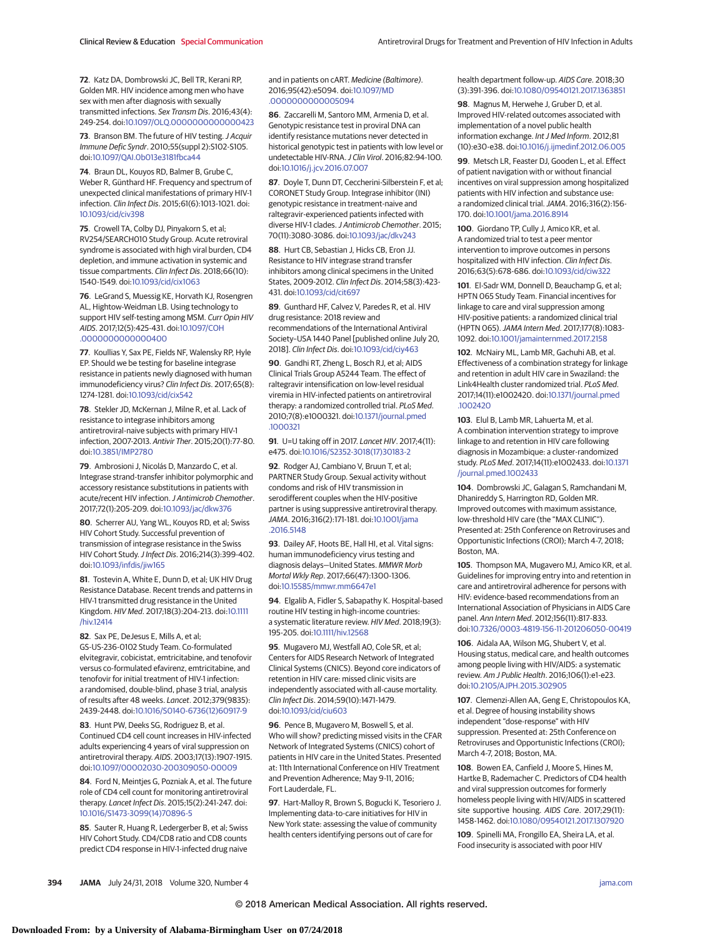**72**. Katz DA, Dombrowski JC, Bell TR, Kerani RP, Golden MR. HIV incidence among men who have sex with men after diagnosis with sexually transmitted infections. Sex Transm Dis. 2016;43(4): 249-254. doi[:10.1097/OLQ.0000000000000423](https://dx.doi.org/10.1097/OLQ.0000000000000423)

**73**. Branson BM. The future of HIV testing. J Acquir Immune Defic Syndr. 2010;55(suppl 2):S102-S105. doi[:10.1097/QAI.0b013e3181fbca44](https://dx.doi.org/10.1097/QAI.0b013e3181fbca44)

**74**. Braun DL, Kouyos RD, Balmer B, Grube C, Weber R, Günthard HF. Frequency and spectrum of unexpected clinical manifestations of primary HIV-1 infection. Clin Infect Dis. 2015;61(6):1013-1021. doi: [10.1093/cid/civ398](https://dx.doi.org/10.1093/cid/civ398)

**75**. Crowell TA, Colby DJ, Pinyakorn S, et al; RV254/SEARCH010 Study Group. Acute retroviral syndrome is associated with high viral burden, CD4 depletion, and immune activation in systemic and tissue compartments. Clin Infect Dis. 2018;66(10): 1540-1549. doi[:10.1093/cid/cix1063](https://dx.doi.org/10.1093/cid/cix1063)

**76**. LeGrand S, Muessig KE, Horvath KJ, Rosengren AL, Hightow-Weidman LB. Using technology to support HIV self-testing among MSM. Curr Opin HIV AIDS. 2017;12(5):425-431. doi[:10.1097/COH](https://dx.doi.org/10.1097/COH.0000000000000400) [.0000000000000400](https://dx.doi.org/10.1097/COH.0000000000000400)

**77**. Koullias Y, Sax PE, Fields NF, Walensky RP, Hyle EP. Should we be testing for baseline integrase resistance in patients newly diagnosed with human immunodeficiency virus? Clin Infect Dis. 2017;65(8): 1274-1281. doi[:10.1093/cid/cix542](https://dx.doi.org/10.1093/cid/cix542)

**78**. Stekler JD, McKernan J, Milne R, et al. Lack of resistance to integrase inhibitors among antiretroviral-naive subjects with primary HIV-1 infection, 2007-2013. Antivir Ther. 2015;20(1):77-80. doi[:10.3851/IMP2780](https://dx.doi.org/10.3851/IMP2780)

**79**. Ambrosioni J, Nicolás D, Manzardo C, et al. Integrase strand-transfer inhibitor polymorphic and accessory resistance substitutions in patients with acute/recent HIV infection. J Antimicrob Chemother. 2017;72(1):205-209. doi[:10.1093/jac/dkw376](https://dx.doi.org/10.1093/jac/dkw376)

**80**. Scherrer AU, Yang WL, Kouyos RD, et al; Swiss HIV Cohort Study. Successful prevention of transmission of integrase resistance in the Swiss HIV Cohort Study.J Infect Dis. 2016;214(3):399-402. doi[:10.1093/infdis/jiw165](https://dx.doi.org/10.1093/infdis/jiw165)

**81**. Tostevin A, White E, Dunn D, et al; UK HIV Drug Resistance Database. Recent trends and patterns in HIV-1 transmitted drug resistance in the United Kingdom. HIV Med. 2017;18(3):204-213. doi[:10.1111](https://dx.doi.org/10.1111/hiv.12414) [/hiv.12414](https://dx.doi.org/10.1111/hiv.12414)

**82**. Sax PE, DeJesus E, Mills A, et al; GS-US-236-0102 Study Team. Co-formulated elvitegravir, cobicistat, emtricitabine, and tenofovir versus co-formulated efavirenz, emtricitabine, and tenofovir for initial treatment of HIV-1 infection: a randomised, double-blind, phase 3 trial, analysis of results after 48 weeks. Lancet. 2012;379(9835): 2439-2448. doi[:10.1016/S0140-6736\(12\)60917-9](https://dx.doi.org/10.1016/S0140-6736(12)60917-9)

**83**. Hunt PW, Deeks SG, Rodriguez B, et al. Continued CD4 cell count increases in HIV-infected adults experiencing 4 years of viral suppression on antiretroviral therapy. AIDS. 2003;17(13):1907-1915. doi[:10.1097/00002030-200309050-00009](https://dx.doi.org/10.1097/00002030-200309050-00009)

**84**. Ford N, Meintjes G, Pozniak A, et al. The future role of CD4 cell count for monitoring antiretroviral therapy. Lancet Infect Dis. 2015;15(2):241-247. doi: [10.1016/S1473-3099\(14\)70896-5](https://dx.doi.org/10.1016/S1473-3099(14)70896-5)

**85**. Sauter R, Huang R, Ledergerber B, et al; Swiss HIV Cohort Study. CD4/CD8 ratio and CD8 counts predict CD4 response in HIV-1-infected drug naive

and in patients on cART. Medicine (Baltimore). 2016;95(42):e5094. doi[:10.1097/MD](https://dx.doi.org/10.1097/MD.0000000000005094) [.0000000000005094](https://dx.doi.org/10.1097/MD.0000000000005094)

**86**. Zaccarelli M, Santoro MM, Armenia D, et al. Genotypic resistance test in proviral DNA can identify resistance mutations never detected in historical genotypic test in patients with low level or undetectable HIV-RNA.J Clin Virol. 2016;82:94-100. doi[:10.1016/j.jcv.2016.07.007](https://dx.doi.org/10.1016/j.jcv.2016.07.007)

**87**. Doyle T, Dunn DT, Ceccherini-Silberstein F, et al; CORONET Study Group. Integrase inhibitor (INI) genotypic resistance in treatment-naive and raltegravir-experienced patients infected with diverse HIV-1 clades.J Antimicrob Chemother. 2015; 70(11):3080-3086. doi[:10.1093/jac/dkv243](https://dx.doi.org/10.1093/jac/dkv243)

**88**. Hurt CB, Sebastian J, Hicks CB, Eron JJ. Resistance to HIV integrase strand transfer inhibitors among clinical specimens in the United States, 2009-2012. Clin Infect Dis. 2014;58(3):423- 431. doi[:10.1093/cid/cit697](https://dx.doi.org/10.1093/cid/cit697)

**89**. Gunthard HF, Calvez V, Paredes R, et al. HIV drug resistance: 2018 review and recommendations of the International Antiviral Society–USA 1440 Panel [published online July 20, 2018]. Clin Infect Dis. doi[:10.1093/cid/ciy463](https://dx.doi.org/10.1093/cid/ciy463)

**90**. Gandhi RT, Zheng L, Bosch RJ, et al; AIDS Clinical Trials Group A5244 Team. The effect of raltegravir intensification on low-level residual viremia in HIV-infected patients on antiretroviral therapy: a randomized controlled trial. PLoS Med. 2010;7(8):e1000321. doi[:10.1371/journal.pmed](https://dx.doi.org/10.1371/journal.pmed.1000321) [.1000321](https://dx.doi.org/10.1371/journal.pmed.1000321)

**91**. U=U taking off in 2017. Lancet HIV. 2017;4(11): e475. doi[:10.1016/S2352-3018\(17\)30183-2](https://dx.doi.org/10.1016/S2352-3018(17)30183-2)

**92**. Rodger AJ, Cambiano V, Bruun T, et al; PARTNER Study Group. Sexual activity without condoms and risk of HIV transmission in serodifferent couples when the HIV-positive partner is using suppressive antiretroviral therapy. JAMA. 2016;316(2):171-181. doi[:10.1001/jama](https://jama.jamanetwork.com/article.aspx?doi=10.1001/jama.2016.5148&utm_campaign=articlePDF%26utm_medium=articlePDFlink%26utm_source=articlePDF%26utm_content=jama.2018.8431) [.2016.5148](https://jama.jamanetwork.com/article.aspx?doi=10.1001/jama.2016.5148&utm_campaign=articlePDF%26utm_medium=articlePDFlink%26utm_source=articlePDF%26utm_content=jama.2018.8431)

**93**. Dailey AF, Hoots BE, Hall HI, et al. Vital signs: human immunodeficiency virus testing and diagnosis delays—United States. MMWR Morb Mortal Wkly Rep. 2017;66(47):1300-1306. doi[:10.15585/mmwr.mm6647e1](https://dx.doi.org/10.15585/mmwr.mm6647e1)

**94**. Elgalib A, Fidler S, Sabapathy K. Hospital-based routine HIV testing in high-income countries: a systematic literature review. HIV Med. 2018;19(3): 195-205. doi[:10.1111/hiv.12568](https://dx.doi.org/10.1111/hiv.12568)

**95**. Mugavero MJ, Westfall AO, Cole SR, et al; Centers for AIDS Research Network of Integrated Clinical Systems (CNICS). Beyond core indicators of retention in HIV care: missed clinic visits are independently associated with all-cause mortality. Clin Infect Dis. 2014;59(10):1471-1479. doi[:10.1093/cid/ciu603](https://dx.doi.org/10.1093/cid/ciu603)

**96**. Pence B, Mugavero M, Boswell S, et al. Who will show? predicting missed visits in the CFAR Network of Integrated Systems (CNICS) cohort of patients in HIV care in the United States. Presented at: 11th International Conference on HIV Treatment and Prevention Adherence; May 9-11, 2016; Fort Lauderdale, FL.

**97**. Hart-Malloy R, Brown S, Bogucki K, Tesoriero J. Implementing data-to-care initiatives for HIV in New York state: assessing the value of community health centers identifying persons out of care for

health department follow-up. AIDS Care. 2018;30 (3):391-396. doi[:10.1080/09540121.2017.1363851](https://dx.doi.org/10.1080/09540121.2017.1363851)

**98**. Magnus M, Herwehe J, Gruber D, et al. Improved HIV-related outcomes associated with implementation of a novel public health information exchange. Int J Med Inform. 2012;81 (10):e30-e38. doi[:10.1016/j.ijmedinf.2012.06.005](https://dx.doi.org/10.1016/j.ijmedinf.2012.06.005)

**99**. Metsch LR, Feaster DJ, Gooden L, et al. Effect of patient navigation with or without financial incentives on viral suppression among hospitalized patients with HIV infection and substance use: a randomized clinical trial. JAMA. 2016:316(2):156-170. doi[:10.1001/jama.2016.8914](https://jama.jamanetwork.com/article.aspx?doi=10.1001/jama.2016.8914&utm_campaign=articlePDF%26utm_medium=articlePDFlink%26utm_source=articlePDF%26utm_content=jama.2018.8431)

**100**. Giordano TP, Cully J, Amico KR, et al. A randomized trial to test a peer mentor intervention to improve outcomes in persons hospitalized with HIV infection. Clin Infect Dis. 2016;63(5):678-686. doi[:10.1093/cid/ciw322](https://dx.doi.org/10.1093/cid/ciw322)

**101**. El-Sadr WM, Donnell D, Beauchamp G, et al; HPTN 065 Study Team. Financial incentives for linkage to care and viral suppression among HIV-positive patients: a randomized clinical trial (HPTN 065).JAMA Intern Med. 2017;177(8):1083- 1092. doi[:10.1001/jamainternmed.2017.2158](https://jama.jamanetwork.com/article.aspx?doi=10.1001/jamainternmed.2017.2158&utm_campaign=articlePDF%26utm_medium=articlePDFlink%26utm_source=articlePDF%26utm_content=jama.2018.8431)

**102**. McNairy ML, Lamb MR, Gachuhi AB, et al. Effectiveness of a combination strategy for linkage and retention in adult HIV care in Swaziland: the Link4Health cluster randomized trial. PLoS Med. 2017;14(11):e1002420. doi[:10.1371/journal.pmed](https://dx.doi.org/10.1371/journal.pmed.1002420) [.1002420](https://dx.doi.org/10.1371/journal.pmed.1002420)

**103**. Elul B, Lamb MR, Lahuerta M, et al. A combination intervention strategy to improve linkage to and retention in HIV care following diagnosis in Mozambique: a cluster-randomized study. PLoS Med. 2017;14(11):e1002433. doi[:10.1371](https://dx.doi.org/10.1371/journal.pmed.1002433) [/journal.pmed.1002433](https://dx.doi.org/10.1371/journal.pmed.1002433)

**104**. Dombrowski JC, Galagan S, Ramchandani M, Dhanireddy S, Harrington RD, Golden MR. Improved outcomes with maximum assistance, low-threshold HIV care (the "MAX CLINIC"). Presented at: 25th Conference on Retroviruses and Opportunistic Infections (CROI); March 4-7, 2018; Boston, MA.

**105**. Thompson MA, Mugavero MJ, Amico KR, et al. Guidelines for improving entry into and retention in care and antiretroviral adherence for persons with HIV: evidence-based recommendations from an International Association of Physicians in AIDS Care panel. Ann Intern Med. 2012;156(11):817-833. doi[:10.7326/0003-4819-156-11-201206050-00419](https://dx.doi.org/10.7326/0003-4819-156-11-201206050-00419)

**106**. Aidala AA, Wilson MG, Shubert V, et al. Housing status, medical care, and health outcomes among people living with HIV/AIDS: a systematic review. Am J Public Health. 2016;106(1):e1-e23. doi[:10.2105/AJPH.2015.302905](https://dx.doi.org/10.2105/AJPH.2015.302905)

**107**. Clemenzi-Allen AA, Geng E, Christopoulos KA, et al. Degree of housing instability shows independent "dose-response" with HIV suppression. Presented at: 25th Conference on Retroviruses and Opportunistic Infections (CROI); March 4-7, 2018; Boston, MA.

**108**. Bowen EA, Canfield J, Moore S, Hines M, Hartke B, Rademacher C. Predictors of CD4 health and viral suppression outcomes for formerly homeless people living with HIV/AIDS in scattered site supportive housing. AIDS Care. 2017;29(11): 1458-1462. doi[:10.1080/09540121.2017.1307920](https://dx.doi.org/10.1080/09540121.2017.1307920)

**109**. Spinelli MA, Frongillo EA, Sheira LA, et al. Food insecurity is associated with poor HIV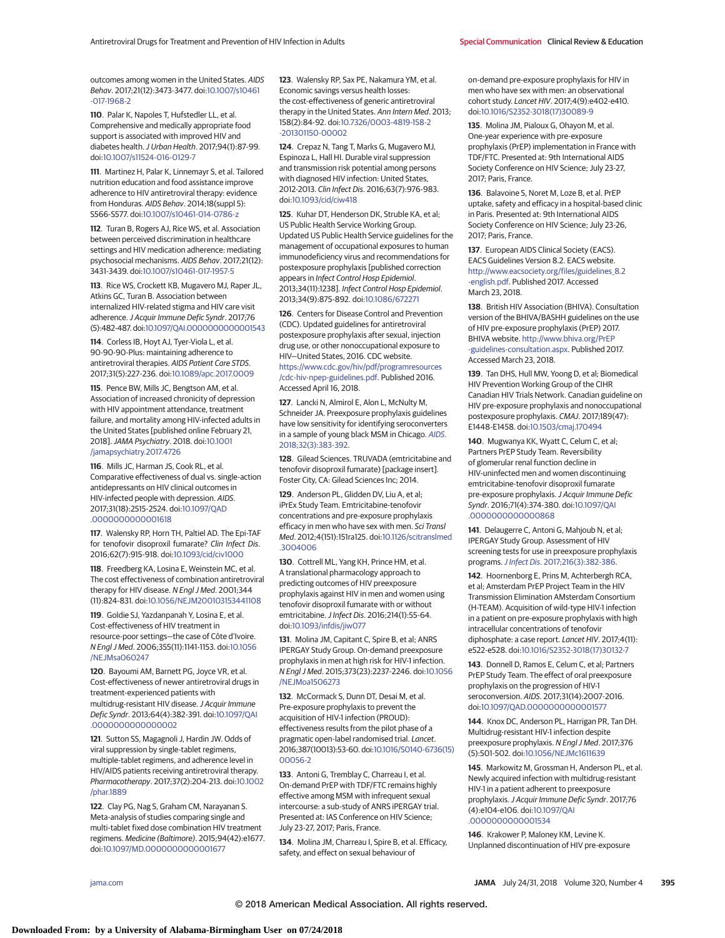outcomes among women in the United States. AIDS Behav. 2017;21(12):3473-3477. doi[:10.1007/s10461](https://dx.doi.org/10.1007/s10461-017-1968-2) [-017-1968-2](https://dx.doi.org/10.1007/s10461-017-1968-2)

**110**. Palar K, Napoles T, Hufstedler LL, et al. Comprehensive and medically appropriate food support is associated with improved HIV and diabetes health. J Urban Health. 2017;94(1):87-99. doi[:10.1007/s11524-016-0129-7](https://dx.doi.org/10.1007/s11524-016-0129-7)

**111**. Martinez H, Palar K, Linnemayr S, et al. Tailored nutrition education and food assistance improve adherence to HIV antiretroviral therapy: evidence from Honduras. AIDS Behav. 2014;18(suppl 5): S566-S577. doi[:10.1007/s10461-014-0786-z](https://dx.doi.org/10.1007/s10461-014-0786-z)

**112**. Turan B, Rogers AJ, Rice WS, et al. Association between perceived discrimination in healthcare settings and HIV medication adherence: mediating psychosocial mechanisms. AIDS Behav. 2017;21(12): 3431-3439. doi[:10.1007/s10461-017-1957-5](https://dx.doi.org/10.1007/s10461-017-1957-5)

**113**. Rice WS, Crockett KB, Mugavero MJ, Raper JL, Atkins GC, Turan B. Association between internalized HIV-related stigma and HIV care visit adherence.J Acquir Immune Defic Syndr. 2017;76 (5):482-487. doi[:10.1097/QAI.0000000000001543](https://dx.doi.org/10.1097/QAI.0000000000001543)

**114**. Corless IB, Hoyt AJ, Tyer-Viola L, et al. 90-90-90-Plus: maintaining adherence to antiretroviral therapies. AIDS Patient Care STDS. 2017;31(5):227-236. doi[:10.1089/apc.2017.0009](https://dx.doi.org/10.1089/apc.2017.0009)

**115**. Pence BW, Mills JC, Bengtson AM, et al. Association of increased chronicity of depression with HIV appointment attendance, treatment failure, and mortality among HIV-infected adults in the United States [published online February 21, 2018].JAMA Psychiatry. 2018. doi[:10.1001](https://jama.jamanetwork.com/article.aspx?doi=10.1001/jamapsychiatry.2017.4726&utm_campaign=articlePDF%26utm_medium=articlePDFlink%26utm_source=articlePDF%26utm_content=jama.2018.8431) [/jamapsychiatry.2017.4726](https://jama.jamanetwork.com/article.aspx?doi=10.1001/jamapsychiatry.2017.4726&utm_campaign=articlePDF%26utm_medium=articlePDFlink%26utm_source=articlePDF%26utm_content=jama.2018.8431)

**116**. Mills JC, Harman JS, Cook RL, et al. Comparative effectiveness of dual vs. single-action antidepressants on HIV clinical outcomes in HIV-infected people with depression. AIDS. 2017;31(18):2515-2524. doi[:10.1097/QAD](https://dx.doi.org/10.1097/QAD.0000000000001618) [.0000000000001618](https://dx.doi.org/10.1097/QAD.0000000000001618)

**117**. Walensky RP, Horn TH, Paltiel AD. The Epi-TAF for tenofovir disoproxil fumarate? Clin Infect Dis. 2016;62(7):915-918. doi[:10.1093/cid/civ1000](https://dx.doi.org/10.1093/cid/civ1000)

**118**. Freedberg KA, Losina E, Weinstein MC, et al. The cost effectiveness of combination antiretroviral therapy for HIV disease. N Engl J Med. 2001;344 (11):824-831. doi[:10.1056/NEJM200103153441108](https://dx.doi.org/10.1056/NEJM200103153441108)

**119**. Goldie SJ, Yazdanpanah Y, Losina E, et al. Cost-effectiveness of HIV treatment in resource-poor settings—the case of Côte d'Ivoire. N Engl J Med. 2006;355(11):1141-1153. doi[:10.1056](https://dx.doi.org/10.1056/NEJMsa060247) [/NEJMsa060247](https://dx.doi.org/10.1056/NEJMsa060247)

**120**. Bayoumi AM, Barnett PG, Joyce VR, et al. Cost-effectiveness of newer antiretroviral drugs in treatment-experienced patients with multidrug-resistant HIV disease.J Acquir Immune Defic Syndr. 2013;64(4):382-391. doi[:10.1097/QAI](https://dx.doi.org/10.1097/QAI.0000000000000002) [.0000000000000002](https://dx.doi.org/10.1097/QAI.0000000000000002)

**121**. Sutton SS, Magagnoli J, Hardin JW. Odds of viral suppression by single-tablet regimens, multiple-tablet regimens, and adherence level in HIV/AIDS patients receiving antiretroviral therapy. Pharmacotherapy. 2017;37(2):204-213. doi[:10.1002](https://dx.doi.org/10.1002/phar.1889) [/phar.1889](https://dx.doi.org/10.1002/phar.1889)

**122**. Clay PG, Nag S, Graham CM, Narayanan S. Meta-analysis of studies comparing single and multi-tablet fixed dose combination HIV treatment regimens. Medicine (Baltimore). 2015;94(42):e1677. doi[:10.1097/MD.0000000000001677](https://dx.doi.org/10.1097/MD.0000000000001677)

**123**. Walensky RP, Sax PE, Nakamura YM, et al. Economic savings versus health losses: the cost-effectiveness of generic antiretroviral therapy in the United States. Ann Intern Med. 2013; 158(2):84-92. doi[:10.7326/0003-4819-158-2](https://dx.doi.org/10.7326/0003-4819-158-2-201301150-00002) [-201301150-00002](https://dx.doi.org/10.7326/0003-4819-158-2-201301150-00002)

**124**. Crepaz N, Tang T, Marks G, Mugavero MJ, Espinoza L, Hall HI. Durable viral suppression and transmission risk potential among persons with diagnosed HIV infection: United States, 2012-2013. Clin Infect Dis. 2016;63(7):976-983. doi[:10.1093/cid/ciw418](https://dx.doi.org/10.1093/cid/ciw418)

**125**. Kuhar DT, Henderson DK, Struble KA, et al; US Public Health Service Working Group. Updated US Public Health Service guidelines for the management of occupational exposures to human immunodeficiency virus and recommendations for postexposure prophylaxis [published correction appears in Infect Control Hosp Epidemiol. 2013;34(11):1238]. Infect Control Hosp Epidemiol. 2013;34(9):875-892. doi[:10.1086/672271](https://dx.doi.org/10.1086/672271)

**126**. Centers for Disease Control and Prevention (CDC). Updated guidelines for antiretroviral postexposure prophylaxis after sexual, injection drug use, or other nonoccupational exposure to HIV—United States, 2016. CDC website. [https://www.cdc.gov/hiv/pdf/programresources](http://www.cdc.gov/hiv/pdf/programresources/cdc-hiv-npep-guidelines.pdf) [/cdc-hiv-npep-guidelines.pdf.](http://www.cdc.gov/hiv/pdf/programresources/cdc-hiv-npep-guidelines.pdf) Published 2016. Accessed April 16, 2018.

**127**. Lancki N, Almirol E, Alon L, McNulty M, Schneider JA. Preexposure prophylaxis guidelines have low sensitivity for identifying seroconverters in a sample of young black MSM in Chicago. [AIDS](https://www.ncbi.nlm.nih.gov/pubmed/29194116). [2018;32\(3\):383-392.](https://www.ncbi.nlm.nih.gov/pubmed/29194116)

**128**. Gilead Sciences. TRUVADA (emtricitabine and tenofovir disoproxil fumarate) [package insert]. Foster City, CA: Gilead Sciences Inc; 2014.

**129**. Anderson PL, Glidden DV, Liu A, et al; iPrEx Study Team. Emtricitabine-tenofovir concentrations and pre-exposure prophylaxis efficacy in men who have sex with men. Sci Transl Med. 2012;4(151):151ra125. doi[:10.1126/scitranslmed](https://dx.doi.org/10.1126/scitranslmed.3004006) [.3004006](https://dx.doi.org/10.1126/scitranslmed.3004006)

**130**. Cottrell ML, Yang KH, Prince HM, et al. A translational pharmacology approach to predicting outcomes of HIV preexposure prophylaxis against HIV in men and women using tenofovir disoproxil fumarate with or without emtricitabine.J Infect Dis. 2016;214(1):55-64. doi[:10.1093/infdis/jiw077](https://dx.doi.org/10.1093/infdis/jiw077)

**131**. Molina JM, Capitant C, Spire B, et al; ANRS IPERGAY Study Group. On-demand preexposure prophylaxis in men at high risk for HIV-1 infection. N Engl J Med. 2015;373(23):2237-2246. doi[:10.1056](https://dx.doi.org/10.1056/NEJMoa1506273) [/NEJMoa1506273](https://dx.doi.org/10.1056/NEJMoa1506273)

**132**. McCormack S, Dunn DT, Desai M, et al. Pre-exposure prophylaxis to prevent the acquisition of HIV-1 infection (PROUD): effectiveness results from the pilot phase of a pragmatic open-label randomised trial. Lancet. 2016;387(10013):53-60. doi[:10.1016/S0140-6736\(15\)](https://dx.doi.org/10.1016/S0140-6736(15)00056-2) [00056-2](https://dx.doi.org/10.1016/S0140-6736(15)00056-2)

**133**. Antoni G, Tremblay C, Charreau I, et al. On-demand PrEP with TDF/FTC remains highly effective among MSM with infrequent sexual intercourse: a sub-study of ANRS iPERGAY trial. Presented at: IAS Conference on HIV Science; July 23-27, 2017; Paris, France.

**134**. Molina JM, Charreau I, Spire B, et al. Efficacy, safety, and effect on sexual behaviour of

on-demand pre-exposure prophylaxis for HIV in men who have sex with men: an observational cohort study. Lancet HIV. 2017;4(9):e402-e410. doi[:10.1016/S2352-3018\(17\)30089-9](https://dx.doi.org/10.1016/S2352-3018(17)30089-9)

**135**. Molina JM, Pialoux G, Ohayon M, et al. One-year experience with pre-exposure prophylaxis (PrEP) implementation in France with TDF/FTC. Presented at: 9th International AIDS Society Conference on HIV Science; July 23-27, 2017; Paris, France.

**136**. Balavoine S, Noret M, Loze B, et al. PrEP uptake, safety and efficacy in a hospital-based clinic in Paris. Presented at: 9th International AIDS Society Conference on HIV Science; July 23-26, 2017; Paris, France.

**137**. European AIDS Clinical Society (EACS). EACS Guidelines Version 8.2. EACS website. [http://www.eacsociety.org/files/guidelines\\_8.2](http://www.eacsociety.org/files/guidelines_8.2-english.pdf) [-english.pdf.](http://www.eacsociety.org/files/guidelines_8.2-english.pdf) Published 2017. Accessed March 23, 2018.

**138**. British HIV Association (BHIVA). Consultation version of the BHIVA/BASHH guidelines on the use of HIV pre-exposure prophylaxis (PrEP) 2017. BHIVA website. [http://www.bhiva.org/PrEP](http://www.bhiva.org/PrEP-guidelines-consultation.aspx) [-guidelines-consultation.aspx.](http://www.bhiva.org/PrEP-guidelines-consultation.aspx) Published 2017. Accessed March 23, 2018.

**139**. Tan DHS, Hull MW, Yoong D, et al; Biomedical HIV Prevention Working Group of the CIHR Canadian HIV Trials Network. Canadian guideline on HIV pre-exposure prophylaxis and nonoccupational postexposure prophylaxis. CMAJ. 2017;189(47): E1448-E1458. doi[:10.1503/cmaj.170494](https://dx.doi.org/10.1503/cmaj.170494)

**140**. Mugwanya KK, Wyatt C, Celum C, et al; Partners PrEP Study Team. Reversibility of glomerular renal function decline in HIV-uninfected men and women discontinuing emtricitabine-tenofovir disoproxil fumarate pre-exposure prophylaxis.J Acquir Immune Defic Syndr. 2016;71(4):374-380. doi[:10.1097/QAI](https://dx.doi.org/10.1097/QAI.0000000000000868) [.0000000000000868](https://dx.doi.org/10.1097/QAI.0000000000000868)

**141**. Delaugerre C, Antoni G, Mahjoub N, et al; IPERGAY Study Group. Assessment of HIV screening tests for use in preexposure prophylaxis programs.J Infect Dis[. 2017;216\(3\):382-386.](https://www.ncbi.nlm.nih.gov/pubmed/28666370)

**142**. Hoornenborg E, Prins M, Achterbergh RCA, et al; Amsterdam PrEP Project Team in the HIV Transmission Elimination AMsterdam Consortium (H-TEAM). Acquisition of wild-type HIV-1 infection in a patient on pre-exposure prophylaxis with high intracellular concentrations of tenofovir diphosphate: a case report. Lancet HIV. 2017;4(11): e522-e528. doi[:10.1016/S2352-3018\(17\)30132-7](https://dx.doi.org/10.1016/S2352-3018(17)30132-7)

**143**. Donnell D, Ramos E, Celum C, et al; Partners PrEP Study Team. The effect of oral preexposure prophylaxis on the progression of HIV-1 seroconversion. AIDS. 2017;31(14):2007-2016. doi[:10.1097/QAD.0000000000001577](https://dx.doi.org/10.1097/QAD.0000000000001577)

**144**. Knox DC, Anderson PL, Harrigan PR, Tan DH. Multidrug-resistant HIV-1 infection despite preexposure prophylaxis. N Engl J Med. 2017;376 (5):501-502. doi[:10.1056/NEJMc1611639](https://dx.doi.org/10.1056/NEJMc1611639)

**145**. Markowitz M, Grossman H, Anderson PL, et al. Newly acquired infection with multidrug-resistant HIV-1 in a patient adherent to preexposure prophylaxis.J Acquir Immune Defic Syndr. 2017;76 (4):e104-e106. doi[:10.1097/QAI](https://dx.doi.org/10.1097/QAI.0000000000001534) [.0000000000001534](https://dx.doi.org/10.1097/QAI.0000000000001534)

**146**. Krakower P, Maloney KM, Levine K. Unplanned discontinuation of HIV pre-exposure